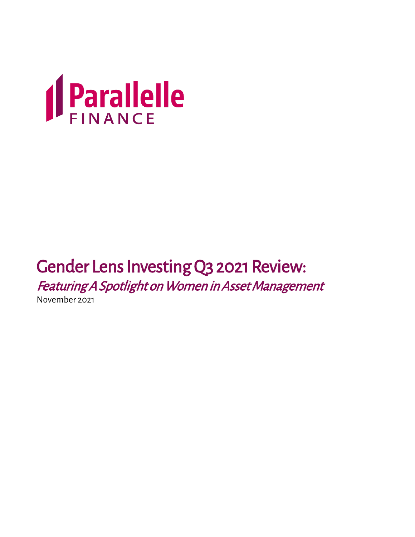

# Gender Lens Investing Q3 2021 Review:

Featuring A Spotlight on Women in Asset Management

November 2021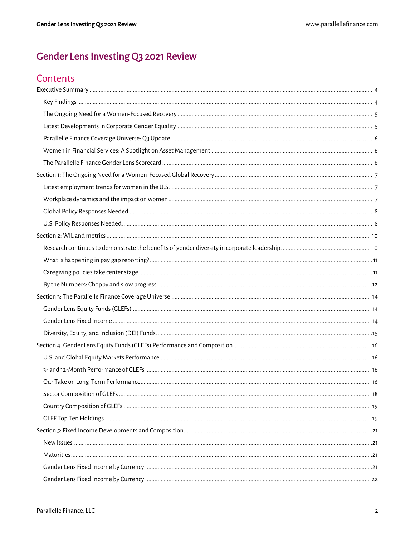### Gender Lens Investing Q3 2021 Review

### Contents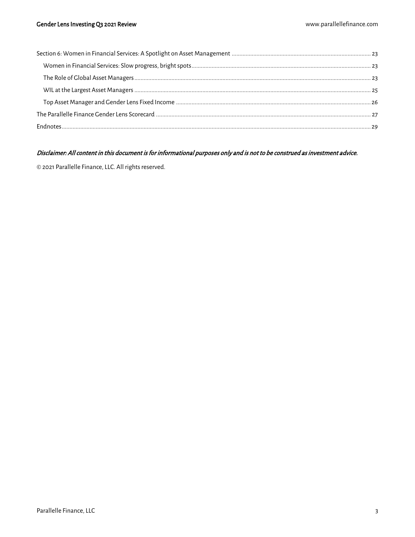#### Disclaimer: All content in this document is for informational purposes only and is not to be construed as investment advice.

© 2021 Parallelle Finance, LLC. All rights reserved.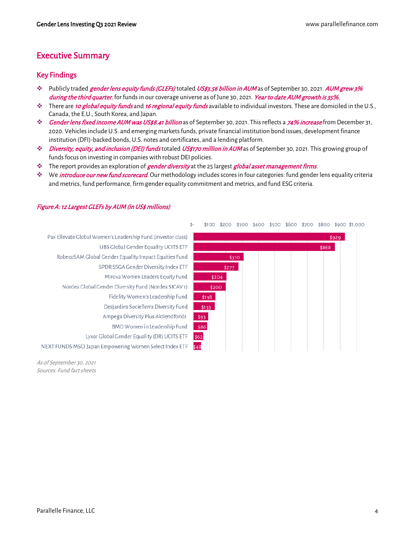### <span id="page-3-0"></span>Executive Summary

#### <span id="page-3-1"></span>Key Findings

- ❖ Publicly traded gender lens equity funds (GLEFs) totaled US\$3.56 billion in AUM as of September 30, 2021. AUM grew 3% during the third quarter, for funds in our coverage universe as of June 30, 2021. Year to date AUM growth is 35%.
- ❖ There are 10 global equity funds and 16 regional equity funds available to individual investors. These are domiciled in the U.S., Canada, the E.U., South Korea, and Japan.
- ❖ Gender lens fixed income AUM was US\$8.41 billion as of September 30, 2021. This reflects a 74% increase from December 31, 2020. Vehicles include U.S. and emerging markets funds, private financial institution bond issues, development finance institution (DFI)-backed bonds, U.S. notes and certificates, and a lending platform.
- ❖ Diversity, equity, and inclusion (DEI) funds totaled US\$170 million in AUM as of September 30, 2021. This growing group of funds focus on investing in companies with robust DEI policies.
- ❖ The report provides an exploration of gender diversity at the 25 largest global asset management firms.
- ❖ We introduce our new fund scorecard. Our methodology includes scores in four categories: fund gender lens equality criteria and metrics, fund performance, firm gender equality commitment and metrics, and fund ESG criteria.

#### Pax Ellevate Global Women's Leadership Fund (investor class) \$929 UBS Global Gender Equality UCITS ETF \$868 RobecoSAM Global Gender Equality Impact Equities Fund \$310 SPDR SSGA Gender Diversity Index ETF  $$277$ Mirova Women Leaders Equity Fund \$204 Nordea Global Gender Diversity Fund (Nordea SICAV1) \$200 Fidelity Women's Leadership Fund \$138 Desjardins SocieTerra Diversity Fund \$133 Ampega Diversity Plus Aktiendfonds \$93 BMO Women in Leadership Fund  $$86$ Lyxor Global Gender Equality (DR) UCITS ETF  $$62$ NEXT FUNDS MSCI Japan Empowering Women Select Index ETF \$48

#### Figure A: 12 Largest GLEFs by AUM (in US\$ millions)

As of September 30, 2021 Sources: Fund fact sheets

#### \$-\$100 \$200 \$300 \$400 \$500 \$600 \$700 \$800 \$900 \$1,000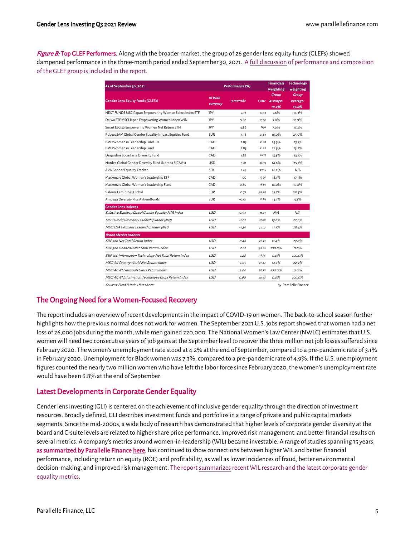Figure B: Top GLEF Performers. Along with the broader market, the group of 26 gender lens equity funds (GLEFs) showed dampened performance in the three-month period ended September 30, 2021. A full discussion [of performance and composition](#page-15-0)  [of the GLEF group is included in the report.](#page-15-0)

| As of September 30, 2021                                | Performance (%) |          |        | <b>Financials</b><br>weighting | <b>Technology</b><br>weighting |
|---------------------------------------------------------|-----------------|----------|--------|--------------------------------|--------------------------------|
| <b>Gender Lens Equity Funds (GLEFs)</b>                 | in base         | 3 months | 1 year | <b>Group</b><br>average:       | Group<br>average:              |
| currency                                                |                 |          |        | 19.2%                          | 17.6%                          |
| NEXT FUNDS MSCI Japan Empowering Women Select Index ETF | <b>JPY</b>      | 5.98     | 23.43  | 7.6%                           | 14.3%                          |
| Daiwa ETF MSCI Japan Empowering Women Index WIN         | <b>JPY</b>      | 5.80     | 25.50  | 7.8%                           | 13.9%                          |
| Smart ESG 30 Empowering Women Net Return ETN            | 1PY             | 4.86     | N/A    | 7.0%                           | 13.3%                          |
| RobecoSAM Global Gender Equality Impact Equities Fund   | <b>FUR</b>      | 4.18     | 21.67  | 16.0%                          | 25.0%                          |
| BMO Women in Leadership Fund ETF                        | CAD             | 2.85     | 21.23  | 23.5%                          | 23.7%                          |
| BMO Women in Leadership Fund                            | CAD             | 2.85     | 21.22  | 21.9%                          | 23.2%                          |
| Desjardins SocieTerra Diversity Fund                    | CAD             | 1.88     | 16.77  | 15.5%                          | 23.1%                          |
| Nordea Global Gender Diversity Fund (Nordea SICAV1)     | <b>USD</b>      | 1.81     | 28.10  | 14.6%                          | 25.7%                          |
| AVA Gender Equality Tracker                             | <b>SEK</b>      | 1.49     | 29.16  | 28.2%                          | N/A                            |
| Mackenzie Global Women's Leadership ETF                 | CAD             | 1.00     | 19.30  | 18.1%                          | 17.1%                          |
| Mackenzie Global Women's Leadership Fund                | CAD             | 0.80     | 18.50  | 18.0%                          | 17.8%                          |
| Valeurs Feminines Global                                | <b>EUR</b>      | 0.72     | 24.90  | 17.1%                          | 20.5%                          |
| Ampega Diversity Plus Aktiendfonds                      | <b>EUR</b>      | $-0.01$  | 16.83  | 14.1%                          | 4.3%                           |
| <b>Gender Lens Indexes</b>                              |                 |          |        |                                |                                |
| Solactive Equileap Global Gender Equality NTR Index     | <b>USD</b>      | $-2.94$  | 31.63  | N/A                            | N/A                            |
| MSCI World Womens Leadership Index (Net)                | <b>USD</b>      | $-7.07$  | 31.80  | 13.6%                          | 22.6%                          |
| MSCI USA Womens Leadership Index (Net)                  | <b>USD</b>      | $-7.34$  | 34.97  | 11.1%                          | 28.4%                          |
| <b>Broad Market Indexes</b>                             |                 |          |        |                                |                                |
| S&P 500 Net Total Return Index                          | USD             | 0.48     | 29.43  | 11.4%                          | 27.6%                          |
| S&P 500 Financials Net Total Return Index               | <b>USD</b>      | 2.61     | 58.20  | 100.0%                         | $0.0\%$                        |
| S&P 500 Information Technology Net Total Return Index   | <b>USD</b>      | 7.28     | 28.54  | $0.0\%$                        | 100.0%                         |
| MSCI All Country World Net Return Index                 | <b>USD</b>      | $-7.05$  | 27.44  | 14.4%                          | 22.3%                          |
| MSCI ACWI Financials Gross Return Index                 | <b>USD</b>      | 2.04     | 50.50  | 100.0%                         | $0.0\%$                        |
| MSCI ACWI Information Technology Gross Return Index     | <b>USD</b>      | 0.60     | 30.62  | 0.0%                           | 100.0%                         |
| Sources: Fund & index fact sheets                       |                 |          |        |                                | by: Parallelle Finance         |

#### <span id="page-4-0"></span>The Ongoing Need for a Women-Focused Recovery

The report includes an overview of recent developments in the impact of COVID-19 on women. The back-to-school season further highlights how the previous normal does not work for women. The September 2021 U.S. jobs report showed that women had a net loss of 26,000 jobs during the month, while men gained 220,000. The National Women's Law Center (NWLC) estimates that U.S. women will need two consecutive years of job gains at the September level to recover the three million net job losses suffered since February 2020. The women's unemployment rate stood at 4.2% at the end of September, compared to a pre-pandemic rate of 3.1% in February 2020. Unemployment for Black women was 7.3%, compared to a pre-pandemic rate of 4.9%. If the U.S. unemployment figures counted the nearly two million women who have left the labor force since February 2020, the women's unemployment rate would have been 6.8% at the end of September.

#### <span id="page-4-1"></span>Latest Developments in Corporate Gender Equality

Gender lens investing (GLI) is centered on the achievement of inclusive gender equality through the direction of investment resources. Broadly defined, GLI describes investment funds and portfolios in a range of private and public capital markets segments. Since the mid-2000s, a wide body of research has demonstrated that higher levels of corporate gender diversity at the board and C-suite levels are related to higher share price performance, improved risk management, and better financial results on several metrics. A company's metrics around women-in-leadership (WIL) became investable. A range of studies spanning 15 years, [as summarized by Parallelle Finance here,](https://parallellefinance.com/wil-outperforms/) has continued to show connections between higher WIL and better financial performance, including return on equity (ROE) and profitability, as well as lower incidences of fraud, better environmental decision-making, and improved risk management. The report summarizes recent WIL research and the latest corporate gender equality metrics.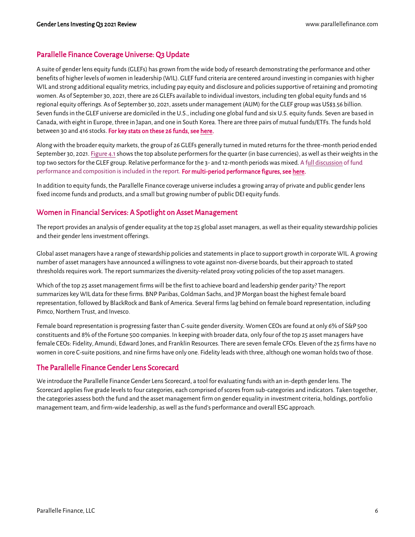#### <span id="page-5-0"></span>Parallelle Finance Coverage Universe: Q3 Update

A suite of gender lens equity funds (GLEFs) has grown from the wide body of research demonstrating the performance and other benefits of higher levels of women in leadership (WIL). GLEF fund criteria are centered around investing in companies with higher WIL and strong additional equality metrics, including pay equity and disclosure and policies supportive of retaining and promoting women. As of September 30, 2021, there are 26 GLEFs available to individual investors, including ten global equity funds and 16 regional equity offerings. As of September 30, 2021, assets under management (AUM) for the GLEF group was US\$3.56 billion. Seven funds in the GLEF universe are domiciled in the U.S., including one global fund and six U.S. equity funds. Seven are based in Canada, with eight in Europe, three in Japan, and one in South Korea. There are three pairs of mutual funds/ETFs. The funds hold between 30 and 416 stocks. For key stats on these 26 funds, see here.

Along with the broader equity markets, the group of 26 GLEFs generally turned in muted returns for the three-month period ended September 30, 2021[. Figure 4.1s](#page-15-2)hows the top absolute performers for the quarter (in base currencies), as well as their weights in the top two sectors for the GLEF group. Relative performance for the 3- and 12-month periods was mixed[. A full discussion](#page-15-0) of fund [performance and composition is included in the report.](#page-15-0) For multi-period performance figures, se[e here.](https://parallellefinance.com/latest-quarter-gender-lens-funds-performance/)

In addition to equity funds, the Parallelle Finance coverage universe includes a growing array of private and public gender lens fixed income funds and products, and a small but growing number of public DEI equity funds.

#### <span id="page-5-1"></span>Women in Financial Services: A Spotlight on Asset Management

The report provides an analysis of gender equality at the top 25 global asset managers, as well as their equality stewardship policies and their gender lens investment offerings.

Global asset managers have a range of stewardship policies and statements in place to support growth in corporate WIL. A growing number of asset managers have announced a willingness to vote against non-diverse boards, but their approach to stated thresholds requires work. The report summarizes the diversity-related proxy voting policies of the top asset managers.

Which of the top 25 asset management firms will be the first to achieve board and leadership gender parity? The report summarizes key WIL data for these firms. BNP Paribas, Goldman Sachs, and JP Morgan boast the highest female board representation, followed by BlackRock and Bank of America. Several firms lag behind on female board representation, including Pimco, Northern Trust, and Invesco.

Female board representation is progressing faster than C-suite gender diversity. Women CEOs are found at only 6% of S&P 500 constituents and 8% of the Fortune 500 companies. In keeping with broader data, only four of the top 25 asset managers have female CEOs: Fidelity, Amundi, Edward Jones, and Franklin Resources. There are seven female CFOs. Eleven of the 25 firms have no women in core C-suite positions, and nine firms have only one. Fidelity leads with three, although one woman holds two of those.

#### <span id="page-5-2"></span>The Parallelle Finance Gender Lens Scorecard

We introduce the Parallelle Finance Gender Lens Scorecard, a tool for evaluating funds with an in-depth gender lens. The Scorecard applies five grade levels to four categories, each comprised of scores from sub-categories and indicators. Taken together, the categories assess both the fund and the asset management firm on gender equality in investment criteria, holdings, portfolio management team, and firm-wide leadership, as well as the fund's performance and overall ESG approach.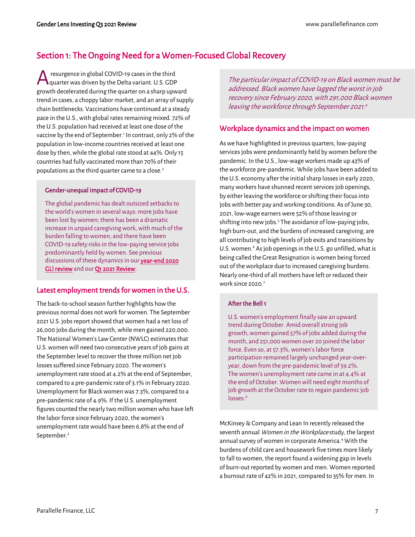### <span id="page-6-0"></span>Section 1: The Ongoing Need for a Women-Focused Global Recovery

resurgence in global COVID-19 cases in the third quarter was driven by the Delta variant. U.S. GDP growth decelerated during the quarter on a sharp upward trend in cases, a choppy labor market, and an array of supply chain bottlenecks. Vaccinations have continued at a steady pace in the U.S., with global rates remaining mixed. 72% of the U.S. population had received at least one dose of the vaccine by the end of September.<sup>1</sup> In contrast, only 2% of the population in low-income countries received at least one dose by then, while the global rate stood at 44%. Only 15 countries had fully vaccinated more than 70% of their populations as the third quarter came to a close.<sup>2</sup> A

#### Gender-unequal impact of COVID-19

The global pandemic has dealt outsized setbacks to the world's women in several ways: more jobs have been lost by women; there has been a dramatic increase in unpaid caregiving work, with much of the burden falling to women; and there have been COVID-19 safety risks in the low-paying service jobs predominantly held by women. See previous discussions of these dynamics in our year-end 2020 [GLI review](https://parallellefinance.com/gender-lens-investing-2021/) and ou[r Q1 2021 Review.](https://parallellefinance.com/q121review/)

#### <span id="page-6-1"></span>Latest employment trends for women in the U.S.

The back-to-school season further highlights how the previous normal does not work for women. The September 2021 U.S. jobs report showed that women had a net loss of 26,000 jobs during the month, while men gained 220,000. The National Women's Law Center (NWLC) estimates that U.S. women will need two consecutive years of job gains at the September level to recover the three million net job losses suffered since February 2020. The women's unemployment rate stood at 4.2% at the end of September, compared to a pre-pandemic rate of 3.1% in February 2020. Unemployment for Black women was 7.3%, compared to a pre-pandemic rate of 4.9%. If the U.S. unemployment figures counted the nearly two million women who have left the labor force since February 2020, the women's unemployment rate would have been 6.8% at the end of September.<sup>3</sup>

<span id="page-6-3"></span>The particular impact of COVID-19 on Black women must be addressed. Black women have lagged the worst in job recovery since February 2020, with 291,000 Black women leaving the workforce through September 2021. 4

#### <span id="page-6-2"></span>Workplace dynamics and the impact on women

As we have highlighted in previous quarters, low-paying services jobs were predominantly held by women before the pandemic. In the U.S., low-wage workers made up 43% of the workforce pre-pandemic. While jobs have been added to the U.S. economy after the initial sharp losses in early 2020, many workers have shunned recent services job openings, by either leaving the workforce or shifting their focus into jobs with better pay and working conditions. As of June 30, 2021, low-wage earners were 52% of those leaving or shifting into new jobs.<sup>5</sup> The avoidance of low-paying jobs, high burn-out, and the burdens of increased caregiving, are all contributing to high levels of job exits and transitions by U.S. women. $6$  As job openings in the U.S. go unfilled, what is being called the Great Resignation is women being forced out of the workplace due to increased caregiving burdens. Nearly one-third of all mothers have left or reduced their work since 2020<sup>7</sup>

#### After the Bell 1

U.S. women's employment finally saw an upward trend during October. Amid overall strong job growth, women gained 57% of jobs added during the month, and 251,000 women over 20 joined the labor force. Even so, at 57.3%, women's labor force participation remained largely unchanged year-overyear, down from the pre-pandemic level of 59.2%. The women's unemployment rate came in at 4.4% at the end of October. Women will need eight months of job growth at the October rate to regain pandemic job losses.<sup>8</sup>

McKinsey & Company and Lean In recently released the seventh annual Women in the Workplace study, the largest annual survey of women in corporate America.<sup>9</sup> With the burdens of child care and housework five times more likely to fall to women, the report found a widening gap in levels of burn-out reported by women and men. Women reported a burnout rate of 42% in 2021, compared to 35% for men. In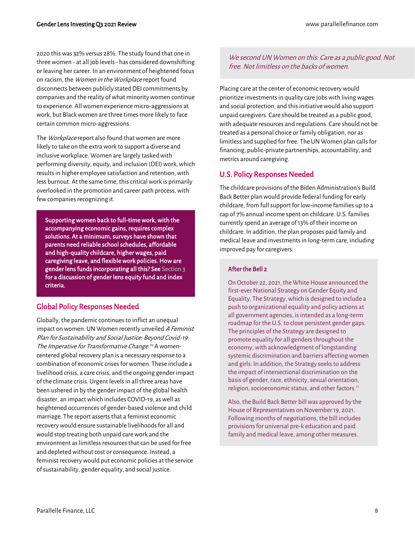2020 this was 32% versus 28%. The study found that one in three women - at all job levels - has considered downshifting or leaving her career. In an environment of heightened focus on racism, the Women in the Workplace report found disconnects between publicly stated DEI commitments by companies and the reality of what minority women continue to experience. All women experience micro-aggressions at work, but Black women are three times more likely to face certain common micro-aggressions.

The Workplace report also found that women are more likely to take on the extra work to support a diverse and inclusive workplace. Women are largely tasked with performing diversity, equity, and inclusion (DEI) work, which results in higher employee satisfaction and retention, with less burnout. At the same time, this critical work is primarily overlooked in the promotion and career path process, with few companies recognizing it.

Supporting women back to full-time work, with the accompanying economic gains, requires complex solutions. At a minimum, surveys have shown that parents need reliable school schedules, affordable and high-quality childcare, higher wages, paid caregiving leave, and flexible work policies. How are gender lens funds incorporating all this? See Section 3 for a discussion of gender lens equity fund and index criteria.

#### <span id="page-7-0"></span>Global Policy Responses Needed

Globally, the pandemic continues to inflict an unequal impact on women. UN Women recently unveiled A Feminist Plan for Sustainability and Social Justice: Beyond Covid-19: The Imperative for Transformative Change.<sup>10</sup> A womencentered global recovery plan is a necessary response to a combination of economic crises for women. These include a livelihood crisis, a care crisis, and the ongoing gender impact of the climate crisis. Urgent levels in all three areas have been ushered in by the gender impact of the global health disaster, an impact which includes COVID-19, as well as heightened occurrences of gender-based violence and child marriage. The report asserts that a feminist economic recovery would ensure sustainable livelihoods for all and would stop treating both unpaid care work and the environment as limitless resources that can be used for free and depleted without cost or consequence. Instead, a feminist recovery would put economic policies at the service of sustainability, gender equality, and social justice.

#### We second UN Women on this: Care as a public good. Not free. Not limitless on the backs of women.

Placing care at the center of economic recovery would prioritize investments in quality care jobs with living wages and social protection, and this initiative would also support unpaid caregivers. Care should be treated as a public good, with adequate resources and regulations. Care should not be treated as a personal choice or family obligation, nor as limitless and supplied for free. The UN Women plan calls for financing, public-private partnerships, accountability, and metrics around caregiving.

#### <span id="page-7-1"></span>U.S. Policy Responses Needed

The childcare provisions of the Biden Administration's Build Back Better plan would provide federal funding for early childcare, from full support for low-income families up to a cap of 7% annual income spent on childcare. U.S. families currently spend an average of 13% of their income on childcare. In addition, the plan proposes paid family and medical leave and investments in long-term care, including improved pay for caregivers.

#### After the Bell 2

On October 22, 2021, the White House announced the first-ever National Strategy on Gender Equity and Equality. The Strategy, which is designed to include a push to organizational equality and policy actions at all government agencies, is intended as a long-term roadmap for the U.S. to close persistent gender gaps. The principles of the Strategy are designed to promote equality for all genders throughout the economy, with acknowledgment of longstanding systemic discrimination and barriers affecting women and girls. In addition, the Strategy seeks to address the impact of intersectional discrimination on the basis of gender, race, ethnicity, sexual orientation, religion, socioeconomic status, and other factors.<sup>11</sup>

Also, the Build Back Better bill was approved by the House of Representatives on November 19, 2021. Following months of negotiations, the bill includes provisions for universal pre-k education and paid family and medical leave, among other measures.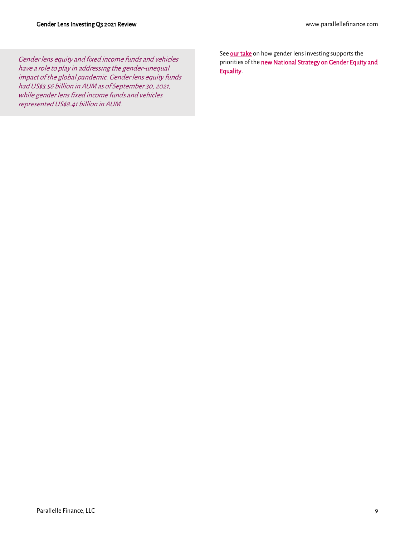Gender lens equity and fixed income funds and vehicles have a role to play in addressing the gender-unequal impact of the global pandemic. Gender lens equity funds hadUS\$3.56 billion in AUM as of September 30, 2021, while gender lens fixed income funds and vehicles represented US\$8.41 billion in AUM.

Se[e our take](https://parallellefinance.com/wp-content/uploads/2021/10/ParallelleLines_Oct2021.pdf) on how gender lens investing supports the priorities of the new National Strategy on Gender Equity and [Equality.](https://parallellefinance.com/wp-content/uploads/2021/10/ParallelleLines_Oct2021.pdf)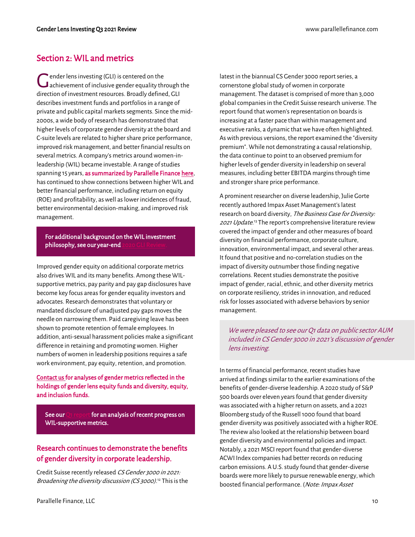#### <span id="page-9-0"></span>Section 2: WIL and metrics

ender lens investing (GLI) is centered on the  $\begin{array}{c} \bigcap \text{ender lens investing (GLI) is centered on the} \\ \text{achievement of inclusive gender equality through the} \end{array}$ direction of investment resources. Broadly defined, GLI describes investment funds and portfolios in a range of private and public capital markets segments. Since the mid-2000s, a wide body of research has demonstrated that higher levels of corporate gender diversity at the board and C-suite levels are related to higher share price performance, improved risk management, and better financial results on several metrics. A company's metrics around women-inleadership (WIL) became investable. A range of studies spanning 15 years[, as summarized by Parallelle Finance here,](https://parallellefinance.com/wil-outperforms/)  has continued to show connections between higher WIL and better financial performance, including return on equity (ROE) and profitability, as well as lower incidences of fraud, better environmental decision-making, and improved risk management.

#### For additional background on the WIL investment philosophy, see our year-end

Improved gender equity on additional corporate metrics also drives WIL and its many benefits. Among these WILsupportive metrics, pay parity and pay gap disclosures have become key focus areas for gender equality investors and advocates. Research demonstrates that voluntary or mandated disclosure of unadjusted pay gaps moves the needle on narrowing them. Paid caregiving leave has been shown to promote retention of female employees. In addition, anti-sexual harassment policies make a significant difference in retaining and promoting women. Higher numbers of women in leadership positions requires a safe work environment, pay equity, retention, and promotion.

#### [Contact us f](mailto:info@parallellefinance.com?subject=Gender%20Lens%20Equity%20Fund%20Holdings)or analyses of gender metrics reflected in the holdings of gender lens equity funds and diversity, equity, and inclusion funds.

See ou[r Q1 report f](https://parallellefinance.com/q121review/)or an analysis of recent progress on WIL-supportive metrics.

#### <span id="page-9-1"></span>Research continues to demonstrate the benefits of gender diversity in corporate leadership.

Credit Suisse recently released CS Gender 3000 in 2021: Broadening the diversity discussion (CS 3000).<sup>12</sup> This is the latest in the biannual CS Gender 3000 report series, a cornerstone global study of women in corporate management. The dataset is comprised of more than 3,000 global companies in the Credit Suisse research universe. The report found that women's representation on boards is increasing at a faster pace than within management and executive ranks, a dynamic that we have often highlighted. As with previous versions, the report examined the "diversity premium". While not demonstrating a causal relationship, the data continue to point to an observed premium for higher levels of gender diversity in leadership on several measures, including better EBITDA margins through time and stronger share price performance.

A prominent researcher on diverse leadership, Julie Gorte recently authored Impax Asset Management's latest research on board diversity, The Business Case for Diversity: 2021 Update.<sup>13</sup> The report's comprehensive literature review covered the impact of gender and other measures of board diversity on financial performance, corporate culture, innovation, environmental impact, and several other areas. It found that positive and no-correlation studies on the impact of diversity outnumber those finding negative correlations. Recent studies demonstrate the positive impact of gender, racial, ethnic, and other diversity metrics on corporate resiliency, strides in innovation, and reduced risk for losses associated with adverse behaviors by senior management.

We were pleased to see our Q1 data on public sector AUM included in CS Gender 3000 in 2021's discussion of gender lens investing.

In terms of financial performance, recent studies have arrived at findings similar to the earlier examinations of the benefits of gender-diverse leadership. A 2020 study of S&P 500 boards over eleven years found that gender diversity was associated with a higher return on assets, and a 2021 Bloomberg study of the Russell 1000 found that board gender diversity was positively associated with a higher ROE. The review also looked at the relationship between board gender diversity and environmental policies and impact. Notably, a 2021 MSCI report found that gender-diverse ACWI Index companies had better records on reducing carbon emissions. A U.S. study found that gender-diverse boards were more likely to pursue renewable energy, which boosted financial performance. (Note: Impax Asset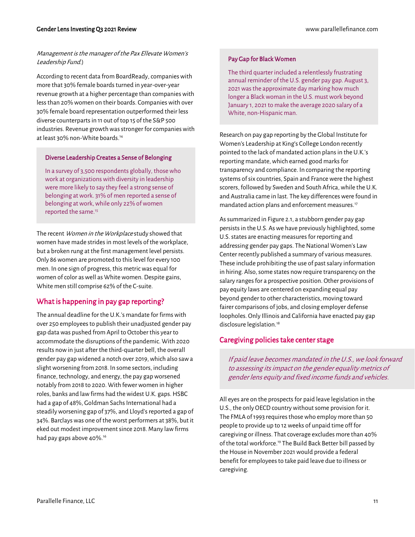#### Management is the manager of the Pax Ellevate Women's Leadership Fund.)

According to recent data from BoardReady, companies with more that 30% female boards turned in year-over-year revenue growth at a higher percentage than companies with less than 20% women on their boards. Companies with over 30% female board representation outperformed their less diverse counterparts in 11 out of top 15 of the S&P 500 industries. Revenue growth was stronger for companies with at least 30% non-White boards.<sup>14</sup>

#### Diverse Leadership Creates a Sense of Belonging

In a survey of 3,500 respondents globally, thosewho work at organizations with diversity in leadership were more likely to say they feel a strong sense of belonging at work. 31% of men reported a sense of belonging at work, while only 22% of women reported the same. 15

The recent Women in the Workplace study showed that women have made strides in most levels of the workplace, but a broken rung at the first management level persists. Only 86 women are promoted to this level for every 100 men. In one sign of progress, this metric was equal for women of color as well as White women. Despite gains, White men still comprise 62% of the C-suite.

#### <span id="page-10-0"></span>What is happening in pay gap reporting?

The annual deadline for the U.K.'s mandate for firms with over 250 employees to publish their unadjusted gender pay gap data was pushed from April to October this year to accommodate the disruptions of the pandemic. With 2020 results now in just after the third-quarter bell, the overall gender pay gap widened a notch over 2019, which also saw a slight worsening from 2018. In some sectors, including finance, technology, and energy, the pay gap worsened notably from 2018 to 2020. With fewer women in higher roles, banks and law firms had the widest U.K. gaps. HSBC had a gap of 48%, Goldman Sachs International had a steadily worsening gap of 37%, and Lloyd's reported a gap of 34%. Barclays was one of the worst performers at 38%, but it eked out modest improvement since 2018. Many law firms had pay gaps above 40%.<sup>16</sup>

#### Pay Gap for Black Women

The third quarter included a relentlessly frustrating annual reminder of the U.S. gender pay gap. August 3, 2021 was the approximate day marking how much longer a Black woman in the U.S. must work beyond January 1, 2021 to make the average 2020 salary of a White, non-Hispanic man.

Research on pay gap reporting by the Global Institute for Women's Leadership at King's College London recently pointed to the lack of mandated action plans in the U.K.'s reporting mandate, which earned good marks for transparency and compliance. In comparing the reporting systems of six countries, Spain and France were the highest scorers, followed by Sweden and South Africa, while the U.K. and Australia came in last. The key differences were found in mandated action plans and enforcement measures.<sup>17</sup>

As summarized in Figure 2.1, a stubborn gender pay gap persists in the U.S. As we have previously highlighted, some U.S. states are enacting measures for reporting and addressing gender pay gaps. The National Women's Law Center recently published a summary of various measures. These include prohibiting the use of past salary information in hiring. Also, some states now require transparency on the salary ranges for a prospective position. Other provisions of pay equity laws are centered on expanding equal pay beyond gender to other characteristics, moving toward fairer comparisons of jobs, and closing employer defense loopholes. Only Illinois and California have enacted pay gap disclosure legislation.<sup>18</sup>

#### <span id="page-10-1"></span>Caregiving policies take center stage

If paid leave becomes mandated in the U.S., we look forward to assessing its impact on the gender equality metrics of gender lens equity and fixed income funds and vehicles.

All eyes are on the prospects for paid leave legislation in the U.S., the only OECD country without some provision for it. The FMLA of 1993 requires those who employ more than 50 people to provide up to 12 weeks of unpaid time off for caregiving or illness. That coverage excludes more than 40% of the total workforce. <sup>19</sup> The Build Back Better bill passed by the House in November 2021 would provide a federal benefit for employees to take paid leave due to illness or caregiving.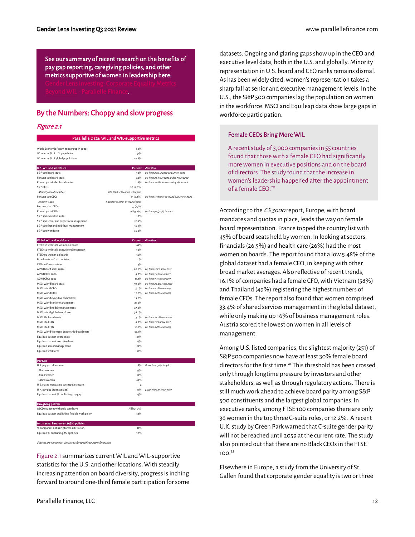See our summary of recent research on the benefits of pay gap reporting, caregiving policies, and other metrics supportive of women in leadership here: [Beyond WIL - Parallelle Finance.](https://parallellefinance.com/beyond-wil/)

#### <span id="page-11-0"></span>By the Numbers: Choppy and slow progress

#### Figure 2.1

|                                                            | Parallelle Data: WIL and WIL-supportive metrics |                                              |
|------------------------------------------------------------|-------------------------------------------------|----------------------------------------------|
| World Economic Forum gender gap in 2020:                   | 68%                                             |                                              |
| Women as % of U.S. population:                             | 51%                                             |                                              |
| Women as % of global population:                           | 49.6%                                           |                                              |
|                                                            |                                                 |                                              |
| U.S. WIL and workforce                                     | Current                                         | direction                                    |
| S&P 500 board seats                                        | 30%                                             | Up from 28% in 2020 and 12% in 2000          |
| Fortune 500 board seats<br>Russell 3000 Index hoard seats- | 28%<br>26%                                      | Up from 26.5% in 2020 and 11.7% in 2000      |
| S&P CEOs                                                   | 30 (6.0%)                                       | Up from 22.6% in 2020 and 15.1% in 2016      |
| Minority board members                                     | 11% Black, 4% Latino, 6% Asian                  |                                              |
| Fortune 500 CEOs                                           | 41 (8.2%)                                       | Up from 15 (3%) in 2010 and 2 (0.4%) in 2000 |
| Minority CEOs                                              | 5 women or color, 29 men of color               |                                              |
| Fortune 1000 CEOs                                          | 73 (7.3%)                                       |                                              |
| Russell 3000 CEOs                                          | 168 (5.6%)                                      | Up from 96 (3.2%) in 2010                    |
| S&P 500 executive suite:                                   | 18%                                             |                                              |
| S&P 500 senior and executive management                    | 26.5%                                           |                                              |
| S&P 500 first and mid-level management                     | 36.9%                                           |                                              |
| S&P 500 workforce                                          | 46.8%                                           |                                              |
|                                                            |                                                 |                                              |
| <b>Global WIL and workforce</b>                            | Current                                         | direction                                    |
| FTSE 350 with 33% women on board                           | 65%                                             |                                              |
| FTSE 350 with 33% executive+direct report                  | 30%                                             |                                              |
| FTSE 100 women on boards                                   | 36%                                             |                                              |
| Board seats in G20 countries                               | 20%                                             |                                              |
| CEOs in G20 countries                                      | 4%                                              |                                              |
| ACWI board seats 2020                                      | 20.6%                                           | Up from 17.3% since 2017                     |
| ACWI CEOs 2020                                             | 4.8%                                            | Up from 3.9% since 2017                      |
| ACWI CFOs 2020                                             | 14.1%                                           | Up from 9.5% since 2017                      |
| MSCI World board seats                                     | 30.0%                                           | Up from 20.4% since 2017                     |
| MSCI World CEOs                                            | 5.0%                                            | Up from 4.2% since 2017                      |
| MSCLWorld CEOs                                             | 12.0%                                           | Up from 9.4% since 2017                      |
| MSCI World executive committees                            | 15.0%                                           |                                              |
| MSCI World senior management                               | 21.0%                                           |                                              |
| MSCI World middle management                               | 27.0%                                           |                                              |
| MSCI World global workforce                                | 36.0%                                           |                                              |
| MSCI EM board seats                                        | 13.0%                                           | Up from 10.2% since 2017                     |
| MSCI EM CEOs                                               | 4.8%                                            | Up from 3.3% since 2017                      |
| <b>MSCI EM CFOs</b>                                        | 18.7%                                           | Up from 9.8% since 2017                      |
| MSCI World Women's Leadership board seats                  | 38.5%                                           |                                              |
| Equileap dataset board seats                               | 25%                                             |                                              |
| Equileap dataset executive level                           | 17%                                             |                                              |
| Equileap senior management                                 | 25%                                             |                                              |
| Equileap workforce                                         | 37%                                             |                                              |
| Pay Gap                                                    |                                                 |                                              |
| U.S. pay gap all women                                     | 18%                                             | Down from 36% in 1980                        |
| <b>Black women</b>                                         | 37%                                             |                                              |
| Asian women                                                | 15%                                             |                                              |
| Latinx women                                               | 43%                                             |                                              |
| U.S. states mandating pay gap disclosure                   | $\overline{\phantom{a}}$                        |                                              |
| U.K. pay gap (2021 average)                                | 15%                                             | Down from 27.5% in 1997                      |
| Equileap dataset % publishing pay gap                      | 15%                                             |                                              |
| <b>Caregiving policies</b>                                 |                                                 |                                              |
| OECD countries with paid care leave                        | All but U.S.                                    |                                              |
| Equileap dataset publishing flexible work policy           | 38%                                             |                                              |
| Anti-sexual harassment (ASH) policies                      |                                                 |                                              |
| % companies not using forced arbitration:                  | 11%                                             |                                              |
| Equileap % publishing ASH policies                         | 50%                                             |                                              |

Sources are numerous. Contact us for specific source information.

Figure 2.1summarizes current WIL and WIL-supportive statistics for the U.S. and other locations. With steadily increasing attention on board diversity, progress is inching forward to around one-third female participation for some datasets. Ongoing and glaring gaps show up in the CEO and executive level data, both in the U.S. and globally. Minority representation in U.S. board and CEO ranks remains dismal. As has been widely cited, women's representation takes a sharp fall at senior and executive management levels. In the U.S., the S&P 500 companies lag the population on women in the workforce. MSCI and Equileap data show large gaps in workforce participation.

#### Female CEOs Bring More WIL

A recent study of 3,000 companies in 55 countries found that those with a female CEO had significantly more women in executive positions and on the board of directors. The study found that the increase in women's leadership happened after the appointment of a female  $CFO$ <sup>20</sup>

According to the CS 3000 report, Europe, with board mandates and quotas in place, leads the way on female board representation. France topped the country list with 45% of board seats held by women. In looking at sectors, financials (26.5%) and health care (26%) had the most women on boards. The report found that a low 5.48% of the global dataset had a female CEO, in keeping with other broad market averages. Also reflective of recent trends, 16.1% of companies had a female CFO, with Vietnam (58%) and Thailand (49%) registering the highest numbers of female CFOs. The report also found that women comprised 33.4% of shared services management in the global dataset, while only making up 16% of business management roles. Austria scored the lowest on women in all levels of management.

Among U.S. listed companies, the slightest majority (251) of S&P 500 companies now have at least 30% female board directors for the first time.<sup>21</sup> This threshold has been crossed only through longtime pressure by investors and other stakeholders, as well as through regulatory actions. There is still much work ahead to achieve board parity among S&P 500 constituents and the largest global companies. In executive ranks, among FTSE 100 companies there are only 36 women in the top three C-suite roles, or 12.2%. A recent U.K. study by Green Park warned that C-suite gender parity will not be reached until 2059 at the current rate. The study also pointed out that there are no Black CEOs in the FTSE 100.<sup>22</sup>

Elsewhere in Europe, a study from the University of St. Gallen found that corporate gender equality is two or three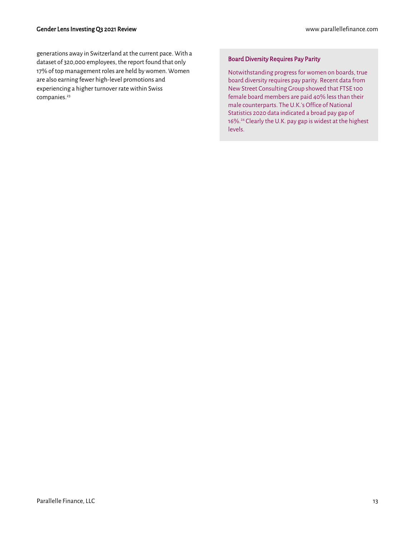generations away in Switzerland at the current pace. With a dataset of 320,000 employees, the report found that only 17% of top management roles are held by women. Women are also earning fewer high-level promotions and experiencing a higher turnover rate within Swiss companies.<sup>23</sup>

#### Board Diversity Requires Pay Parity

Notwithstanding progress for women on boards, true board diversity requires pay parity. Recent data from New Street Consulting Group showed that FTSE 100 female board members are paid 40% less than their male counterparts. The U.K.'s Office of National Statistics 2020 data indicated a broad pay gap of 16%.<sup>24</sup> Clearly the U.K. pay gap is widest at the highest levels.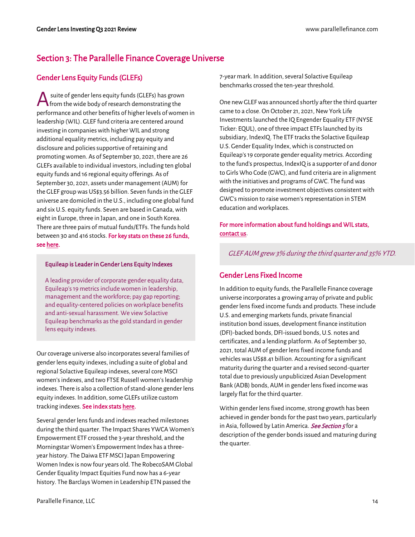### <span id="page-13-0"></span>Section 3: The Parallelle Finance Coverage Universe

### <span id="page-13-1"></span>Gender Lens Equity Funds (GLEFs)

suite of gender lens equity funds (GLEFs) has grown from the wide body of research demonstrating the performance and other benefits of higher levels of women in leadership (WIL). GLEF fund criteria are centered around investing in companies with higher WIL and strong additional equality metrics, including pay equity and disclosure and policies supportive of retaining and promoting women. As of September 30, 2021, there are 26 GLEFs available to individual investors, including ten global equity funds and 16 regional equity offerings. As of September 30, 2021, assets under management (AUM) for the GLEF group was US\$3.56 billion. Seven funds in the GLEF universe are domiciled in the U.S., including one global fund and six U.S. equity funds. Seven are based in Canada, with eight in Europe, three in Japan, and one in South Korea. There are three pairs of mutual funds/ETFs. The funds hold between 30 and 416 stocks. [For key stats on these 26 funds,](https://parallellefinance.com/gender-lens-equity-funds-key-stats/)  [see here.](https://parallellefinance.com/gender-lens-equity-funds-key-stats/)  A

#### Equileap is Leader in Gender Lens Equity Indexes

A leading provider of corporate gender equality data, Equileap's 19 metrics include women in leadership, management and the workforce; pay gap reporting; and equality-centered policies on workplace benefits and anti-sexual harassment. We view Solactive Equileap benchmarks as the gold standard in gender lens equity indexes.

Our coverage universe also incorporates several families of gender lens equity indexes, including a suite of global and regional Solactive Equileap indexes, several core MSCI women's indexes, and two FTSE Russell women's leadership indexes. There is also a collection of stand-alone gender lens equity indexes. In addition, some GLEFs utilize custom tracking indexes[. See index stats here.](https://parallellefinance.com/gender-lens-index-stats/)

Several gender lens funds and indexes reached milestones during the third quarter. The Impact Shares YWCA Women's Empowerment ETF crossed the 3-year threshold, and the Morningstar Women's Empowerment Index has a threeyear history. The Daiwa ETF MSCI Japan Empowering Women Index is now four years old. The RobecoSAM Global Gender Equality Impact Equities Fund now has a 6-year history. The Barclays Women in Leadership ETN passed the

7-year mark. In addition, several Solactive Equileap benchmarks crossed the ten-year threshold.

One new GLEF was announced shortly after the third quarter came to a close. On October 21, 2021, New York Life Investments launched the IQ Engender Equality ETF (NYSE Ticker: EQUL), one of three impact ETFs launched by its subsidiary, IndexIQ. The ETF tracks the Solactive Equileap U.S. Gender Equality Index, which is constructed on Equileap's 19 corporate gender equality metrics. According to the fund's prospectus, IndexIQ is a supporter of and donor to Girls Who Code (GWC), and fund criteria are in alignment with the initiatives and programs of GWC. The fund was designed to promote investment objectives consistent with GWC's mission to raise women's representation in STEM education and workplaces.

#### For more information about fund holdings and WIL stats, [contact us.](mailto:info@parallellefinance.com?subject=Gender%20Lens%20Equity%20Fund%20Holdings)

GLEF AUM grew 3% during the third quarter and 35% YTD.

#### <span id="page-13-2"></span>Gender Lens Fixed Income

In addition to equity funds, the Parallelle Finance coverage universe incorporates a growing array of private and public gender lens fixed income funds and products. These include U.S. and emerging markets funds, private financial institution bond issues, development finance institution (DFI)-backed bonds, DFI-issued bonds, U.S. notes and certificates, and a lending platform. As of September 30, 2021, total AUM of gender lens fixed income funds and vehicles was US\$8.41 billion. Accounting for a significant maturity during the quarter and a revised second-quarter total due to previously unpublicized Asian Development Bank (ADB) bonds, AUM in gender lens fixed income was largely flat for the third quarter.

Within gender lens fixed income, strong growth has been achieved in gender bonds for the past two years, particularly in Asia, followed by Latin America. [See Section 5](#page-20-0) for a description of the gender bonds issued and maturing during the quarter.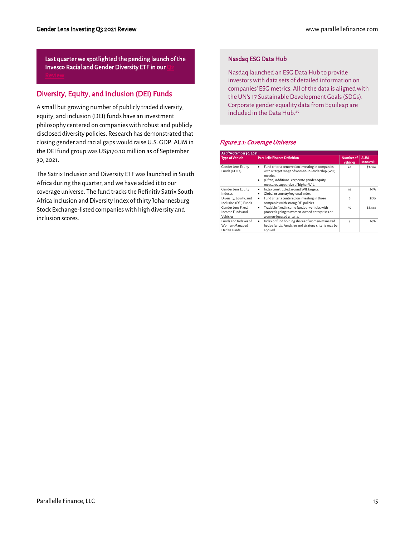Last quarter we spotlighted the pending launch of the Invesco Racial and Gender Diversity ETF in our

#### <span id="page-14-0"></span>Diversity, Equity, and Inclusion (DEI) Funds

A small but growing number of publicly traded diversity, equity, and inclusion (DEI) funds have an investment philosophy centered on companies with robust and publicly disclosed diversity policies. Research has demonstrated that closing gender and racial gaps would raise U.S. GDP. AUM in the DEI fund group was US\$170.10 million as of September 30, 2021.

The Satrix Inclusion and Diversity ETF was launched in South Africa during the quarter, and we have added it to our coverage universe. The fund tracks the Refinitiv Satrix South Africa Inclusion and Diversity Index of thirty Johannesburg Stock Exchange-listed companies with high diversity and inclusion scores.

#### Nasdaq ESG Data Hub

Nasdaq launched an ESG Data Hub to provide investors with data sets of detailed information on companies' ESG metrics. All of the data is aligned with the UN's 17 Sustainable Development Goals (SDGs). Corporate gender equality data from Equileap are included in the Data Hub.<sup>25</sup>

#### Figure 3.1: Coverage Universe

| As of September 30, 2021                             |                                                                                                                                                                                                                |                       |                            |
|------------------------------------------------------|----------------------------------------------------------------------------------------------------------------------------------------------------------------------------------------------------------------|-----------------------|----------------------------|
| <b>Type of Vehicle</b>                               | <b>Parallelle Finance Definition</b>                                                                                                                                                                           | Number of<br>vehicles | <b>AUM</b><br>(in US\$mil) |
| <b>Gender Lens Equity</b><br>Funds (GLEFs)           | Fund criteria centered on investing in companies<br>٠<br>with a target range of women-in-leadership (WIL)<br>metrics.<br>(Often) Additional corporate gender equity<br>٠<br>measures supportive of higher WIL. | 26                    | \$3.564                    |
| <b>Gender Lens Equity</b><br>Indexes                 | Index constructed around WIL targets.<br>$\bullet$<br>Global or country/regional index.<br>٠                                                                                                                   | 19                    | N/A                        |
| Diversity, Equity, and<br>Inclusion (DEI) Funds      | Fund criteria centered on investing in those<br>$\bullet$<br>companies with strong DEI policies.                                                                                                               | 6                     | \$170                      |
| Gender Lens Fixed<br>Income Funds and<br>Vehicles    | Tradable fixed income funds or vehicles with<br>٠<br>proceeds going to women-owned enterprises or<br>women-focused criteria.                                                                                   | 50                    | \$8,414                    |
| Funds and Indexes of<br>Women-Managed<br>Hedge Funds | Index or fund holding shares of women-managed<br>٠<br>hedge funds. Fund size and strategy criteria may be<br>applied.                                                                                          | 4                     | N/A                        |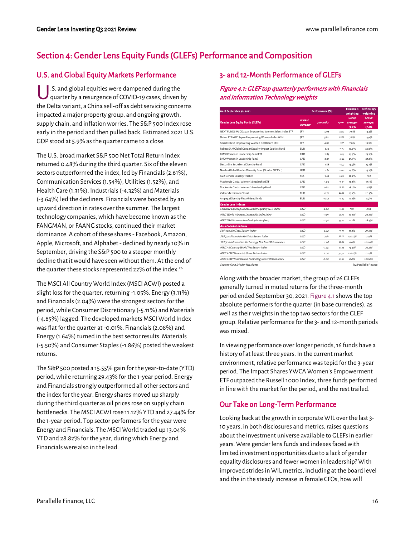### <span id="page-15-0"></span>Section 4: Gender Lens Equity Funds (GLEFs) Performance and Composition

#### <span id="page-15-1"></span>U.S. and Global Equity Markets Performance

US. and global equities were dampened during the<br>quarter by a resurgence of COVID-19 cases, driven quarter by a resurgence of COVID-19 cases, driven by the Delta variant, a China sell-off as debt servicing concerns impacted a major property group, and ongoing growth, supply chain, and inflation worries. The S&P 500 Index rose early in the period and then pulled back. Estimated 2021 U.S. GDP stood at 5.9% as the quarter came to a close.

The U.S. broad market S&P 500 Net Total Return Index returned 0.48% during the third quarter. Six of the eleven sectors outperformed the index, led by Financials (2.61%), Communication Services (1.54%), Utilities (1.52%), and Health Care (1.31%). Industrials (-4.32%) and Materials (-3.64%) led the decliners. Financials were boosted by an upward direction in rates over the summer. The largest technology companies, which have become known as the FANGMAN, or FAANG stocks, continued their market dominance. A cohort of these shares - Facebook, Amazon, Apple, Microsoft, and Alphabet - declined by nearly 10% in September, driving the S&P 500 to a steeper monthly decline that it would have seen without them. At the end of the quarter these stocks represented 22% of the index.<sup>26</sup>

The MSCI All Country World Index (MSCI ACWI) posted a slight loss for the quarter, returning -1.05%. Energy (3.11%) and Financials (2.04%) were the strongest sectors for the period, while Consumer Discretionary (-5.11%) and Materials (-4.85%) lagged. The developed markets MSCI World Index was flat for the quarter at -0.01%. Financials (2.08%) and Energy (1.64%) turned in the best sector results. Materials (-5.50%) and Consumer Staples (-1.86%) posted the weakest returns.

The S&P 500 posted a 15.55% gain for the year-to-date (YTD) period, while returning 29.43% for the 1-year period. Energy and Financials strongly outperformed all other sectors and the index for the year. Energy shares moved up sharply during the third quarter as oil prices rose on supply chain bottlenecks. The MSCI ACWI rose 11.12% YTD and 27.44% for the 1-year period. Top sector performers for the year were Energy and Financials. The MSCI World traded up 13.04% YTD and 28.82% for the year, during which Energy and Financials were also in the lead.

#### <span id="page-15-2"></span>3- and 12-Month Performance of GLEFs

#### Figure 4.1: GLEF top quarterly performers with Financials and Information Technology weights

| As of September 30, 2021                                |            | Performance (%) |        | <b>Financials</b> | <b>Technology</b>      |
|---------------------------------------------------------|------------|-----------------|--------|-------------------|------------------------|
|                                                         |            |                 |        | weighting         | weighting              |
|                                                         | in base    |                 |        | Group             | Group                  |
| <b>Gender Lens Equity Funds (GLEFs)</b>                 | currency   | 3 months        | 1 year | average:          | average:               |
|                                                         |            |                 |        | 19.2%             | 17.6%                  |
| NEXT FUNDS MSCI Japan Empowering Women Select Index ETF | <b>JPY</b> | 5.98            | 23.43  | 7.6%              | 14.3%                  |
| Daiwa ETF MSCI Japan Empowering Women Index WIN         | <b>JPY</b> | 5.80            | 25.50  | 7.8%              | 13.9%                  |
| Smart ESG 30 Empowering Women Net Return ETN            | <b>JPY</b> | 4.86            | N/A    | 7.0%              | 13.3%                  |
| RobecoSAM Global Gender Equality Impact Equities Fund   | <b>EUR</b> | 4.18            | 21.67  | 16.0%             | 25.0%                  |
| BMO Women in Leadership Fund ETF                        | CAD        | 2.85            | 21.23  | 23.5%             | 23.7%                  |
| BMO Women in Leadership Fund                            | CAD        | 2.85            | 21.22  | 21.9%             | 23.2%                  |
| Desjardins SocieTerra Diversity Fund                    | CAD        | 1.88            | 16.77  | 15.5%             | 23.1%                  |
| Nordea Global Gender Diversity Fund (Nordea SICAV1)     | <b>USD</b> | 1.81            | 28.10  | 14.6%             | 25.7%                  |
| AVA Gender Equality Tracker                             | <b>SFK</b> | 1.49            | 29.16  | 28.2%             | N/A                    |
| Mackenzie Global Women's Leadership ETF                 | CAD        | 1.00            | 19.30  | 18.1%             | 17.1%                  |
| Mackenzie Global Women's Leadership Fund                | CAD        | 0.80            | 18.50  | 18.0%             | 17.8%                  |
| Valeurs Feminines Global                                | <b>FUR</b> | 0.72            | 24.90  | 17.1%             | 20.5%                  |
| Ampega Diversity Plus Aktiendfonds                      | <b>EUR</b> | $-0.01$         | 16.83  | 14.1%             | 4.3%                   |
| <b>Gender Lens Indexes</b>                              |            |                 |        |                   |                        |
| Solactive Equileap Global Gender Equality NTR Index     | <b>USD</b> | $-2.94$         | 37.63  | N/A               | N/A                    |
| MSCI World Womens Leadership Index (Net)                | USD        | $-1.01$         | 31.80  | 13.6%             | 22.6%                  |
| MSCI USA Womens Leadership Index (Net)                  | USD        | $-1.34$         | 34.97  | 11.1%             | 28.4%                  |
| <b>Broad Market Indexes</b>                             |            |                 |        |                   |                        |
| S&P soo Net Total Return Index                          | USD        | 0.48            | 29.43  | 11.4%             | 27.6%                  |
| S&P 500 Financials Net Total Return Index               | <b>USD</b> | 261             | 58.20  | 100.0%            | 0.0%                   |
| S&P 500 Information Technology Net Total Return Index   | USD        | 1.28            | 28.54  | 0.0%              | 100.0%                 |
| MSCI All Country World Net Return Index                 | USD        | $-1.05$         | 27.44  | 14.4%             | 22.3%                  |
| MSCLACWI Financials Gross Return Index                  | <b>USD</b> | 2.04            | 50.50  | 100.0%            | 0.0%                   |
| MSCI ACWI Information Technology Gross Return Index     | USD        | 0.60            | 30.62  | 0.0%              | 100.0%                 |
| Sources-Fund & index fact sheets                        |            |                 |        |                   | by: Parallelle Finance |

Along with the broader market, the group of 26 GLEFs generally turned in muted returns for the three-month period ended September 30, 2021. Figure 4.1shows the top absolute performers for the quarter (in base currencies), as well as their weights in the top two sectors for the GLEF group. Relative performance for the 3- and 12-month periods was mixed.

In viewing performance over longer periods, 16 funds have a history of at least three years. In the current market environment, relative performance was tepid for the 3-year period. The Impact Shares YWCA Women's Empowerment ETF outpaced the Russell 1000 Index, three funds performed in line with the market for the period, and the rest trailed.

#### <span id="page-15-3"></span>Our Take on Long-Term Performance

Looking back at the growth in corporate WIL over the last 3- 10 years, in both disclosures and metrics, raises questions about the investment universe available to GLEFs in earlier years. Were gender lens funds and indexes faced with limited investment opportunities due to a lack of gender equality disclosures and fewer women in leadership? With improved strides in WIL metrics, including at the board level and the in the steady increase in female CFOs, how will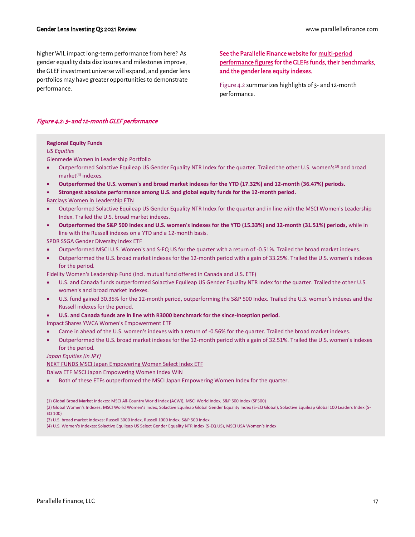higher WIL impact long-term performance from here? As gender equality data disclosures and milestones improve, the GLEF investment universe will expand, and gender lens portfolios may have greater opportunities to demonstrate performance.

#### [See the Parallelle Finance website for multi-period](https://parallellefinance.com/latest-quarter-gender-lens-funds-performance/)  [performance figures for the GLEFs funds, their benchmarks,](https://parallellefinance.com/latest-quarter-gender-lens-funds-performance/)  [and the gender lens equity indexes.](https://parallellefinance.com/latest-quarter-gender-lens-funds-performance/)

Figure 4.2 summarizes highlights of 3- and 12-month performance.

#### Figure 4.2: 3- and 12-month GLEF performance

#### **Regional Equity Funds**

*US Equities*

Glenmede Women in Leadership Portfolio

- Outperformed Solactive Equileap US Gender Equality NTR Index for the quarter. Trailed the other U.S. women's(3) and broad market $(4)$  indexes.
- **Outperformed the U.S. women's and broad market indexes for the YTD (17.32%) and 12-month (36.47%) periods.**
- **Strongest absolute performance among U.S. and global equity funds for the 12-month period.**
- Barclays Women in Leadership ETN
- Outperformed Solactive Equileap US Gender Equality NTR Index for the quarter and in line with the MSCI Women's Leadership Index. Trailed the U.S. broad market indexes.
- **Outperformed the S&P 500 Index and U.S. women's indexes for the YTD (15.33%) and 12-month (31.51%) periods,** while in line with the Russell indexes on a YTD and a 12-month basis.
- SPDR SSGA Gender Diversity Index ETF
- Outperformed MSCI U.S. Women's and S-EQ US for the quarter with a return of -0.51%. Trailed the broad market indexes.
- Outperformed the U.S. broad market indexes for the 12-month period with a gain of 33.25%. Trailed the U.S. women's indexes for the period.

Fidelity Women's Leadership Fund (incl. mutual fund offered in Canada and U.S. ETF)

- U.S. and Canada funds outperformed Solactive Equileap US Gender Equality NTR Index for the quarter. Trailed the other U.S. women's and broad market indexes.
- U.S. fund gained 30.35% for the 12-month period, outperforming the S&P 500 Index. Trailed the U.S. women's indexes and the Russell indexes for the period.
- **U.S. and Canada funds are in line with R3000 benchmark for the since-inception period.**

Impact Shares YWCA Women's Empowerment ETF

- Came in ahead of the U.S. women's indexes with a return of -0.56% for the quarter. Trailed the broad market indexes.
- Outperformed the U.S. broad market indexes for the 12-month period with a gain of 32.51%. Trailed the U.S. women's indexes for the period.

*Japan Equities (in JPY)*

NEXT FUNDS MSCI Japan Empowering Women Select Index ETF

Daiwa ETF MSCI Japan Empowering Women Index WIN

• Both of these ETFs outperformed the MSCI Japan Empowering Women Index for the quarter.

EQ 100)

(3) U.S. broad market indexes: Russell 3000 Index, Russell 1000 Index, S&P 500 Index

(4) U.S. Women's Indexes: Solactive Equileap US Select Gender Equality NTR Index (S-EQ US), MSCI USA Women's Index

<sup>(1)</sup> Global Broad Market Indexes: MSCI All-Country World Index (ACWI), MSCI World Index, S&P 500 Index (SP500) (2) Global Women's Indexes: MSCI World Women's Index, Solactive Equileap Global Gender Equality Index (S-EQ Global), Solactive Equileap Global 100 Leaders Index (S-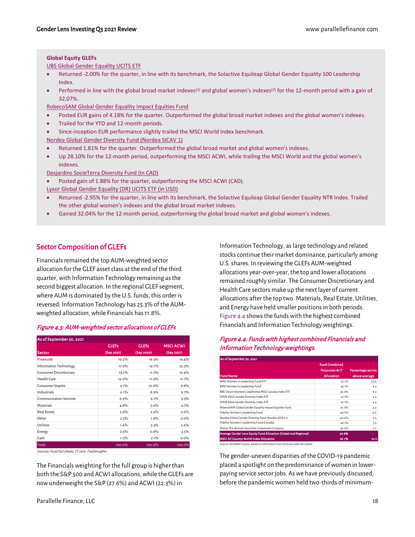#### **Global Equity GLEFs**

UBS Global Gender Equality UCITS ETF

- Returned -2.00% for the quarter, in line with its benchmark, the Solactive Equileap Global Gender Equality 100 Leadership Index.
- Performed in line with the global broad market indexes<sup>(1)</sup> and global women's indexes<sup>(2)</sup> for the 12-month period with a gain of 32.07%.

RobecoSAM Global Gender Equality Impact Equities Fund

- Posted EUR gains of 4.18% for the quarter. Outperformed the global broad market indexes and the global women's indexes.
- Trailed for the YTD and 12-month periods.
- Since-inception EUR performance slightly trailed the MSCI World Index benchmark.

Nordea Global Gender Diversity Fund (Nordea SICAV 1)

- Returned 1.81% for the quarter. Outperformed the global broad market and global women's indexes.
- Up 28.10% for the 12-month period, outperforming the MSCI ACWI, while trailing the MSCI World and the global women's indexes.

Desjardins SocieTerra Diversity Fund (in CAD)

- Posted gain of 1.88% for the quarter, outperforming the MSCI ACWI (CAD).
- Lyxor Global Gender Equality (DR) UCITS ETF (in USD)
- Returned -2.95% for the quarter, in line with its benchmark, the Solactive Equileap Global Gender Equality NTR Index. Trailed the other global women's indexes and the global broad market indexes.
- Gained 32.04% for the 12-month period, outperforming the global broad market and global women's indexes.

#### <span id="page-17-0"></span>Sector Composition of GLEFs

Financials remained the top AUM-weighted sector allocation for the GLEF asset class at the end of the third quarter, with Information Technology remaining as the second biggest allocation. In the regional GLEF segment, where AUM is dominated by the U.S. funds, this order is reversed: Information Technology has 25.3% of the AUMweighted allocation, while Financials has 11.8%.

| Figure 4.3: AUM-weighted sector allocations of GLEFs |  |
|------------------------------------------------------|--|
|------------------------------------------------------|--|

| As of September 30, 2021      |              |              |                  |  |  |  |
|-------------------------------|--------------|--------------|------------------|--|--|--|
|                               | <b>GLEFs</b> | <b>GLEFs</b> | <b>MSCI ACWI</b> |  |  |  |
| Sector                        | (Sep 2021)   | (Sep 2020)   | (Sep 2021)       |  |  |  |
| <b>Financials</b>             | 19.2%        | 16.3%        | 14.4%            |  |  |  |
| Information Technology        | 17.6%        | 19.1%        | 22.3%            |  |  |  |
| Consumer Discretionary        | 13.1%        | 11.7%        | 12.4%            |  |  |  |
| Health Care                   | 12.0%        | 11.9%        | 11.7%            |  |  |  |
| Consumer Staples              | 9.1%         | 10.6%        | 6.8%             |  |  |  |
| Industrials                   | 9.1%         | 8.9%         | 9.7%             |  |  |  |
| <b>Communication Services</b> | 6.9%         | 6.1%         | 9.3%             |  |  |  |
| Materials                     | 4.8%         | 5.0%         | 4.7%             |  |  |  |
| Real Estate                   | 2.9%         | 2.4%         | 2.6%             |  |  |  |
| Other                         | 2.5%         | 1.8%         | 0.0%             |  |  |  |
| <b>Utilities</b>              | 1.6%         | 3.3%         | 2.6%             |  |  |  |
| Energy                        | 0.3%         | 0.8%         | 3.5%             |  |  |  |
| Cash                          | 1.0%         | 2.1%         | 0.0%             |  |  |  |
| Total                         | 100.0%       | 100.0%       | 100.0%           |  |  |  |

Sources: Fund fact sheets, FT.com, TrackInsights

The Financials weighting for the full group is higher than both the S&P 500 and ACWI allocations, while the GLEFs are now underweight the S&P (27.6%) and ACWI (22.3%) in

Information Technology, as large technology and related stocks continue their market dominance, particularly among U.S. shares. In reviewing the GLEFs AUM-weighted allocations year-over-year, the top and lower allocations remained roughly similar. The Consumer Discretionary and Health Care sectors make up the next layer of current allocations after the top two. Materials, Real Estate, Utilities, and Energy have held smaller positions in both periods. Figure 4.4 shows the funds with the highest combined Financials and Information Technology weightings.

#### Figure 4.4: Funds with highest combined Financials and Information Technology weightings.

| As of September 30, 2021                                                         |                      |                          |
|----------------------------------------------------------------------------------|----------------------|--------------------------|
|                                                                                  | <b>Fund Combined</b> |                          |
|                                                                                  | Financials & IT      | <b>Percentage points</b> |
| <b>Fund Name</b>                                                                 | <b>Allocation</b>    | above average            |
| BMO Women in Leadership Fund ETF                                                 | 47.1%                | 10.4                     |
| BMO Women in Leadership Fund                                                     | 45.1%                | 8.3                      |
| RBC Vision Women's Leadership MSCI Canada Index ETF                              | 45.0%                | 8.2                      |
| SPDR SSGA Gender Diversity Index ETF                                             | 41.1%                | 4.3                      |
| SPDR SSGA Gender Diversity Index ETF                                             | 41.1%                | 4.3                      |
| RobecoSAM Global Gender Equality Impact Equities Fund                            | 41.0%                | 4.2                      |
| Fidelity Women's Leadership Fund                                                 | 40.7%                | 4.0                      |
| Nordea Global Gender Diversity Fund (Nordea SICAV 1)                             | 40.2%                | 3.4                      |
| Fidelity Women's Leadership Fund (Canada)                                        | 40.1%                | 3.3                      |
| Meritz The Woman Securities Investment Company                                   | 39.0%                | 2.2                      |
| Average Gender Lens Equity Fund Allocation (Global and Regional)                 | 36.8%                | ٠                        |
| <b>MSCI All Country World Index Allocation</b>                                   | 36.7%                | (0.1)                    |
| Source: Parallelle Finance, based on information from fund and index fact sheets |                      |                          |

The gender-uneven disparities of the COVID-19 pandemic placed a spotlight on the predominance of women in lowerpaying service sector jobs. As we have previously discussed, before the pandemic women held two-thirds of minimum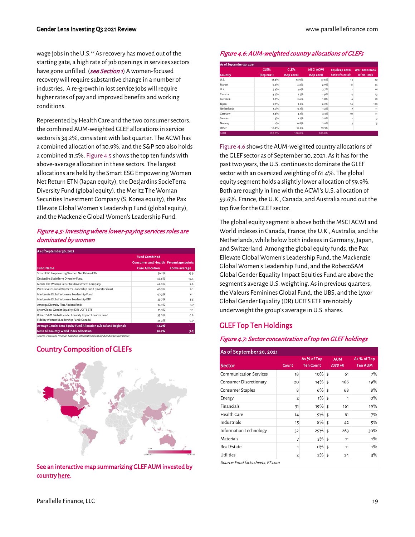wage jobs in the U.S.<sup>27</sup> As recovery has moved out of the starting gate, a high rate of job openings in services sectors have gone unfilled. (**[see Section 1](#page-6-3)**) A women-focused recovery will require substantive change in a number of industries. A re-growth in lost service jobs will require higher rates of pay and improved benefits and working conditions.

Represented by Health Care and the two consumer sectors, the combined AUM-weighted GLEF allocations in service sectors is 34.2%, consistent with last quarter. The ACWI has a combined allocation of 30.9%, and the S&P 500 also holds a combined 31.5%. Figure 4.5 shows the top ten funds with above-average allocation in these sectors. The largest allocations are held by the Smart ESG Empowering Women Net Return ETN (Japan equity), the Desjardins SocieTerra Diversity Fund (global equity), the Meritz The Woman Securities Investment Company (S. Korea equity), the Pax Ellevate Global Women's Leadership Fund (global equity), and the Mackenzie Global Women's Leadership Fund.

#### Figure 4.5: Investing where lower-paying services roles are dominated by women

| As of September 30, 2021                                                         |                                       |               |
|----------------------------------------------------------------------------------|---------------------------------------|---------------|
|                                                                                  | <b>Fund Combined</b>                  |               |
|                                                                                  | Consumer and Health Percentage points |               |
| <b>Fund Name</b>                                                                 | <b>Care Allocation</b>                | above average |
| Smart ESG Empowering Women Net Return ETN                                        | 50.1%                                 | 15.9          |
| Desjardins SocieTerra Diversity Fund                                             | 46.6%                                 | 12.4          |
| Meritz The Woman Securities Investment Company                                   | 44.0%                                 | 9.8           |
| Pax Ellevate Global Women's Leadership Fund (investor class)                     | 40.3%                                 | 6.1           |
| Mackenzie Global Women's Leadership Fund                                         | 40.3%                                 | 6.1           |
| Mackenzie Global Women's Leadership ETF                                          | 39.7%                                 | 5.5           |
| Ampega Diversity Plus Aktiendfonds                                               | 37.9%                                 | 3.7           |
| Lyxor Global Gender Equality (DR) UCITS ETF                                      | 35.3%                                 | 1.1           |
| RobecoSAM Global Gender Equality Impact Equities Fund                            | 35.0%                                 | 0.8           |
| Fidelity Women's Leadership Fund (Canada)                                        | 34.2%                                 | 0.0           |
| Average Gender Lens Equity Fund Allocation (Global and Regional)                 | 34.2%                                 | ۰             |
| <b>MSCI All Country World Index Allocation</b>                                   | 30.9%                                 | (3.3)         |
| Source: Parallelle Finance, based on information from fund and index fact sheets |                                       |               |

<span id="page-18-0"></span>Country Composition of GLEFs



[See an interactive map summarizing GLEF AUM invested by](https://parallellefinance.com/gender-lens-funds-data-sector-country-allocations/#CountryAUM)  [country here.](https://parallellefinance.com/gender-lens-funds-data-sector-country-allocations/#CountryAUM) 

#### Figure 4.6: AUM-weighted country allocations of GLEFs

| As of September 30, 2021 |              |              |                  |                    |                      |
|--------------------------|--------------|--------------|------------------|--------------------|----------------------|
|                          | <b>GLEFs</b> | <b>GLEFs</b> | <b>MSCI ACWI</b> | Equileap 2020      | <b>WEF 2020 Rank</b> |
| <b>Country</b>           | (Sep 2021)   | (Sep 2020)   | (Sep 2021)       | Rank (of 14 total) | (of 156 total)       |
| U.S.                     | 61.4%        | 58.9%        | 59.6%            | 12                 | 30                   |
| France                   | 6.6%         | 4.8%         | 2.9%             | 11                 | 24                   |
| U.K.                     | 5.4%         | 3.9%         | 3.7%             | 1                  | 16                   |
| Canada                   | 4.9%         | 7.5%         | 2.9%             | 4                  | 23                   |
| Australia                | 3.8%         | 2.6%         | 1.8%             | 6                  | 50                   |
| Japan                    | 2.1%         | 3.3%         | 6.2%             | 14                 | 120                  |
| Netherlands              | 1.9%         | 0.7%         | 1.2%             | 7                  | 11                   |
| Germany                  | 1.4%         | 4.7%         | 2.3%             | 10                 | 31                   |
| Sweden                   | 1.3%         | 1.7%         | $0.0\%$          | ٠                  | 3                    |
| Norway                   | 1.1%         | 0.8%         | 0.0%             | 3                  | 5                    |
| Other                    | 10.2%        | 11.2%        | 19.5%            |                    |                      |
| <b>Total</b>             | 100.0%       | 100.0%       | 100.0%           |                    |                      |

Figure 4.6 shows the AUM-weighted country allocations of the GLEF sector as of September 30, 2021. As it has for the past two years, the U.S. continues to dominate the GLEF sector with an oversized weighting of 61.4%. The global equity segment holds a slightly lower allocation of 59.9%. Both are roughly in line with the ACWI's U.S. allocation of 59.6%. France, the U.K., Canada, and Australia round out the top five for the GLEF sector.

The global equity segment is above both the MSCI ACWI and World indexes in Canada, France, the U.K., Australia, and the Netherlands, while below both indexes in Germany, Japan, and Switzerland. Among the global equity funds, the Pax Ellevate Global Women's Leadership Fund, the Mackenzie Global Women's Leadership Fund, and the RobecoSAM Global Gender Equality Impact Equities Fund are above the segment's average U.S. weighting. As in previous quarters, the Valeurs Feminines Global Fund, the UBS, and the Lyxor Global Gender Equality (DR) UCITS ETF are notably underweight the group's average in U.S. shares.

#### <span id="page-18-1"></span>GLEF Top Ten Holdings

#### Figure 4.7: Sector concentration of top ten GLEF holdings

| As of September 30, 2021      |                |                                 |                       |                                   |  |  |  |  |  |
|-------------------------------|----------------|---------------------------------|-----------------------|-----------------------------------|--|--|--|--|--|
| <b>Sector</b>                 | Count          | As % of Top<br><b>Ten Count</b> | <b>AUM</b><br>(USD M) | As % of Top<br><b>Ten AUM</b>     |  |  |  |  |  |
| <b>Communication Services</b> | 18             | $10\%$ \$                       | 61                    | 7%                                |  |  |  |  |  |
| Consumer Discretionary        | 20             | $14\%$ \$                       | 166                   | 19%                               |  |  |  |  |  |
| Consumer Staples              | 8              | 6%                              | \$<br>68              | 8%                                |  |  |  |  |  |
| Energy                        | $\overline{2}$ | $1\%$ \$                        | 1                     | O%                                |  |  |  |  |  |
| Financials                    | 31             | $19\%$ \$                       | 161                   | 19%                               |  |  |  |  |  |
| Health Care                   | 14             | $9\%$ \$                        | 61                    | 7%                                |  |  |  |  |  |
| Industrials                   | 15             | $8\%$ \$                        | 42                    | 5%                                |  |  |  |  |  |
| Information Technology        | 32             | $29\%$ \$                       | 263                   | 30%                               |  |  |  |  |  |
| Materials                     | $\overline{7}$ | 3%5                             | 11                    | 1%                                |  |  |  |  |  |
| Real Estate                   | 1              | $0\%$ \$                        | 11                    | 1%                                |  |  |  |  |  |
| <b>Utilities</b>              | $\overline{2}$ | $2\%$ \$                        | 24                    | 3%                                |  |  |  |  |  |
|                               |                |                                 |                       | Source: Fund facts sheets, FT.com |  |  |  |  |  |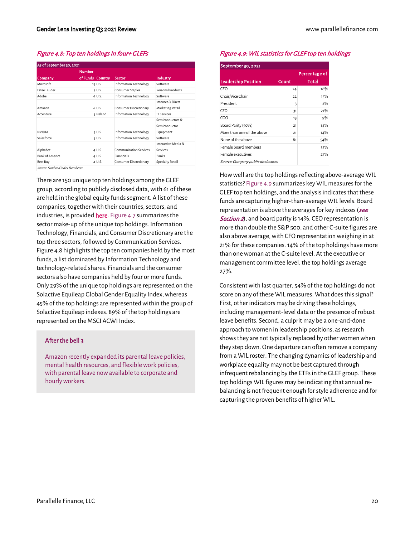#### Figure 4.8: Top ten holdings in four+ GLEFs

|                        | <b>Number</b>    |             |                               |                                                |
|------------------------|------------------|-------------|-------------------------------|------------------------------------------------|
| Company                | of Funds Country |             | Sector                        | Industry                                       |
| Microsoft              |                  | 15 U.S.     | <b>Information Technology</b> | Software                                       |
| <b>Estee Lauder</b>    |                  | 7 U.S.      | Consumer Staples              | Personal Products                              |
| Adobe                  |                  | 6 U.S.      | <b>Information Technology</b> | Software                                       |
|                        |                  |             |                               | Internet & Direct                              |
| Amazon                 |                  | 6 U.S.      | Consumer Discretionary        | Marketing Retail                               |
| Accenture              |                  | 5 Ireland   | Information Technology        | <b>IT Services</b>                             |
| <b>NVIDIA</b>          |                  | $5 \cup .5$ | Information Technology        | Semiconductors &<br>Semiconductor<br>Equipment |
| Salesforce             |                  | $5$ U.S.    | <b>Information Technology</b> | Software                                       |
| Alphabet               |                  | 4 U.S.      | <b>Communication Services</b> | Interactive Media &<br>Services                |
| <b>Bank of America</b> |                  | 4 U.S.      | <b>Financials</b>             | <b>Banks</b>                                   |
| Best Buy               |                  | 4 U.S.      | Consumer Discretionary        | Specialty Retail                               |

There are 150 unique top ten holdings among the GLEF group, according to publicly disclosed data, with 61 of these are held in the global equity funds segment. A list of these companies, together with their countries, sectors, and industries, is provide[d here.](https://parallellefinance.com/gender-lens-funds-data-top-ten-holdings/) Figure 4.7 summarizes the sector make-up of the unique top holdings. Information Technology, Financials, and Consumer Discretionary are the top three sectors, followed by Communication Services. Figure 4.8 highlights the top ten companies held by the most funds, a list dominated by Information Technology and technology-related shares. Financials and the consumer sectors also have companies held by four or more funds. Only 29% of the unique top holdings are represented on the Solactive Equileap Global Gender Equality Index, whereas 45% of the top holdings are represented within the group of Solactive Equileap indexes. 89% of the top holdings are represented on the MSCI ACWI Index.

#### After the bell 3

Amazon recently expanded its parental leave policies, mental health resources, and flexible work policies, with parental leave now available to corporate and hourly workers.

#### Figure 4.9: WIL statistics for GLEF top ten holdings

| September 30, 2021                 |               |       |  |  |
|------------------------------------|---------------|-------|--|--|
|                                    | Percentage of |       |  |  |
| <b>Leadership Position</b>         | Count         | Total |  |  |
| CFO                                | 24            | 16%   |  |  |
| Chair/Vice Chair                   | 22            | 15%   |  |  |
| President                          | 3             | $2\%$ |  |  |
| CFO                                | 31            | 21%   |  |  |
| COO                                | 13            | 9%    |  |  |
| Board Parity (50%)                 | 21            | 14%   |  |  |
| More than one of the above         | 21            | 14%   |  |  |
| None of the above                  | 81            | 54%   |  |  |
| Female board members               |               | 35%   |  |  |
| Female executives                  |               | 27%   |  |  |
| Source: Company public disclosures |               |       |  |  |

How well are the top holdings reflecting above-average WIL statistics? Figure 4.9 summarizes key WIL measures for the GLEF top ten holdings, and the analysis indicates that these funds are capturing higher-than-average WIL levels. Board representation is above the averages for key indexes (see [Section 2](#page-11-0)), and board parity is 14%. CEO representation is more than double the S&P 500, and other C-suite figures are also above average, with CFO representation weighing in at 21% for these companies. 14% of the top holdings have more than one woman at the C-suite level. At the executive or management committee level, the top holdings average 27%.

Consistent with last quarter, 54% of the top holdings do not score on any of these WIL measures. What does this signal? First, other indicators may be driving these holdings, including management-level data or the presence of robust leave benefits. Second, a culprit may be a one-and-done approach to women in leadership positions, as research shows they are not typically replaced by other women when they step down. One departure can often remove a company from a WIL roster. The changing dynamics of leadership and workplace equality may not be best captured through infrequent rebalancing by the ETFs in the GLEF group. These top holdings WIL figures may be indicating that annual rebalancing is not frequent enough for style adherence and for capturing the proven benefits of higher WIL.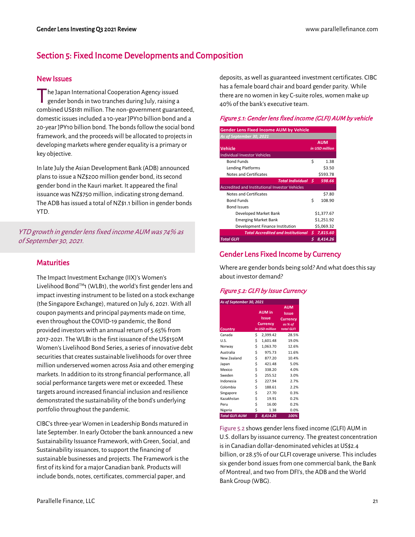### <span id="page-20-0"></span>Section 5: Fixed Income Developments and Composition

#### <span id="page-20-1"></span>New Issues

he Japan International Cooperation Agency issued gender bonds in two tranches during July, raising a combined US\$181 million. The non-government guaranteed, domestic issues included a 10-year JPY10 billion bond and a 20-year JPY10 billion bond. The bonds follow the social bond framework, and the proceeds will be allocated to projects in developing markets where gender equality is a primary or key objective. T

In late July the Asian Development Bank (ADB) announced plans to issue a NZ\$200 million gender bond, its second gender bond in the Kauri market. It appeared the final issuance was NZ\$750 million, indicating strong demand. The ADB has issued a total of NZ\$1.1 billion in gender bonds YTD.

YTD growth in gender lens fixed income AUM was 74% as of September 30, 2021.

#### <span id="page-20-2"></span>**Maturities**

The Impact Investment Exchange (IIX)'s Women's Livelihood Bond<sup>TM</sup>1 (WLB1), the world's first gender lens and impact investing instrument to be listed on a stock exchange (the Singapore Exchange), matured on July 6, 2021. With all coupon payments and principal payments made on time, even throughout the COVID-19 pandemic, the Bond provided investors with an annual return of 5.65% from 2017-2021. The WLB1 is the first issuance of the US\$150M Women's Livelihood Bond Series, a series of innovative debt securities that creates sustainable livelihoods for over three million underserved women across Asia and other emerging markets. In addition to its strong financial performance, all social performance targets were met or exceeded. These targets around increased financial inclusion and resilience demonstrated the sustainability of the bond's underlying portfolio throughout the pandemic.

CIBC's three-year Women in Leadership Bonds matured in late September. In early October the bank announced a new Sustainability Issuance Framework, with Green, Social, and Sustainability issuances, to support the financing of sustainable businesses and projects. The Framework is the first of its kind for a major Canadian bank. Products will include bonds, notes, certificates, commercial paper, and

deposits, as well as guaranteed investment certificates. CIBC has a female board chair and board gender parity. While there are no women in key C-suite roles, women make up 40% of the bank's executive team.

#### Figure 5.1: Gender lens fixed income (GLFI) AUM by vehicle

| <b>Gender Lens Fixed Income AUM by Vehicle</b>        |            |                |  |  |  |
|-------------------------------------------------------|------------|----------------|--|--|--|
|                                                       |            |                |  |  |  |
| As of September 30, 2021                              | <b>AUM</b> |                |  |  |  |
| Vehicle                                               |            | in USD million |  |  |  |
| <b>Individual Investor Vehicles</b>                   |            |                |  |  |  |
| <b>Bond Funds</b>                                     | Ś          | 1.38           |  |  |  |
| <b>Lending Platforms</b>                              |            | \$3.50         |  |  |  |
| Notes and Certificates                                |            | \$593.78       |  |  |  |
| Total Individual S                                    |            | 598.66         |  |  |  |
| <b>Accredited and Institutional Investor Vehicles</b> |            |                |  |  |  |
| Notes and Certificates                                |            | \$7.80         |  |  |  |
| <b>Bond Funds</b>                                     | Ś          | 108.90         |  |  |  |
| <b>Bond Issues</b>                                    |            |                |  |  |  |
| Developed Market Bank                                 |            | \$1,377.67     |  |  |  |
| <b>Emerging Market Bank</b>                           |            | \$1,251.92     |  |  |  |
| Development Finance Institution                       | \$5,069.32 |                |  |  |  |
| <b>Total Accredited and Institutional</b>             | s.         | 7,815.60       |  |  |  |
| <b>Total GLFI</b>                                     |            | 8,414.26       |  |  |  |

#### <span id="page-20-3"></span>Gender Lens Fixed Income by Currency

Where are gender bonds being sold? And what does this say about investor demand?

#### Figure 5.2: GLFI by Issue Currency

| As of September 30, 2021 |    |                                                             |                                                                 |  |  |  |
|--------------------------|----|-------------------------------------------------------------|-----------------------------------------------------------------|--|--|--|
| Country                  |    | <b>AUM</b> in<br>Issue<br><b>Currency</b><br>in USD million | <b>AUM</b><br>Issue<br><b>Currency</b><br>as % of<br>total GLFI |  |  |  |
| Canada                   | \$ | 2,399.42                                                    | 28.5%                                                           |  |  |  |
| U.S.                     | \$ | 1,601.48                                                    | 19.0%                                                           |  |  |  |
| Norway                   | \$ | 1,063.70                                                    | 12.6%                                                           |  |  |  |
| Australia                | \$ | 975.73                                                      | 11.6%                                                           |  |  |  |
| New Zealand              | \$ | 877.20                                                      | 10.4%                                                           |  |  |  |
| Japan                    | \$ | 421.48                                                      | 5.0%                                                            |  |  |  |
| Mexico                   | \$ | 338.20                                                      | 4.0%                                                            |  |  |  |
| Sweden                   | \$ | 255.52                                                      | 3.0%                                                            |  |  |  |
| Indonesia                | \$ | 227.94                                                      | 2.7%                                                            |  |  |  |
| Colombia                 | \$ | 188.61                                                      | 2.2%                                                            |  |  |  |
| Singapore                | \$ | 27.70                                                       | 0.3%                                                            |  |  |  |
| Kazakhstan               | \$ | 19.91                                                       | 0.2%                                                            |  |  |  |
| Peru                     | \$ | 16.00                                                       | 0.2%                                                            |  |  |  |
| Nigeria                  | \$ | 1.38                                                        | 0.0%                                                            |  |  |  |
| <b>Total GLFI AUM</b>    | \$ | 8,414.26                                                    | 100%                                                            |  |  |  |

Figure 5.2 shows gender lens fixed income (GLFI) AUM in U.S. dollars by issuance currency. The greatest concentration is in Canadian dollar-denominated vehicles at US\$2.4 billion, or 28.5% of our GLFI coverage universe. This includes six gender bond issues from one commercial bank, the Bank of Montreal, and two from DFI's, the ADB and the World Bank Group (WBG).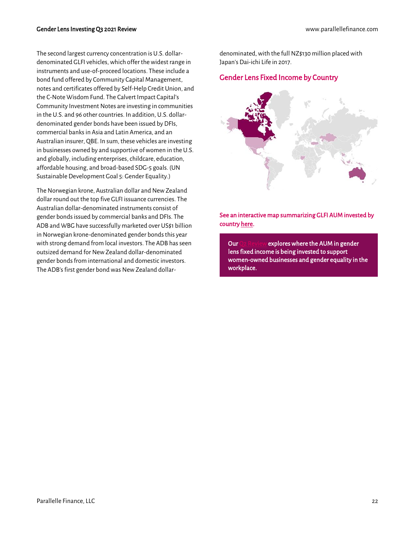The second largest currency concentration is U.S. dollardenominated GLFI vehicles, which offer the widest range in instruments and use-of-proceed locations. These include a bond fund offered by Community Capital Management, notes and certificates offered by Self-Help Credit Union, and the C-Note Wisdom Fund. The Calvert Impact Capital's Community Investment Notes are investing in communities in the U.S. and 96 other countries. In addition, U.S. dollardenominated gender bonds have been issued by DFIs, commercial banks in Asia and Latin America, and an Australian insurer, QBE. In sum, these vehicles are investing in businesses owned by and supportive of women in the U.S. and globally, including enterprises, childcare, education, affordable housing, and broad-based SDG-5 goals. (UN Sustainable Development Goal 5: Gender Equality.)

The Norwegian krone, Australian dollar and New Zealand dollar round out the top five GLFI issuance currencies. The Australian dollar-denominated instruments consist of gender bonds issued by commercial banks and DFIs. The ADB and WBG have successfully marketed over US\$1 billion in Norwegian krone-denominated gender bonds this year with strong demand from local investors. The ADB has seen outsized demand for New Zealand dollar-denominated gender bonds from international and domestic investors. The ADB's first gender bond was New Zealand dollar-

denominated, with the full NZ\$130 million placed with Japan's Dai-ichi Life in 2017.

#### <span id="page-21-0"></span>Gender Lens Fixed Income by Country



[See an interactive map summarizing GLFI AUM invested by](https://parallellefinance.com/latest-gender-lens-fixed-income-overview/)  [country here.](https://parallellefinance.com/latest-gender-lens-fixed-income-overview/) 

Ou[r Q2 Review e](https://parallellefinance.com/gender-lens-investing-q2-2021-review/)xplores where the AUM in gender lens fixed income is being invested to support women-owned businesses and gender equality in the workplace.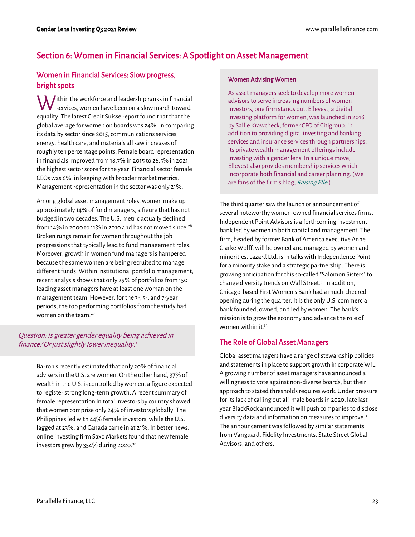### <span id="page-22-0"></span>Section 6: Women in Financial Services: A Spotlight on Asset Management

#### <span id="page-22-1"></span>Women in Financial Services: Slow progress, bright spots

 $\bigvee$ ithin the workforce and leadership ranks in financial services, women have been on a slow march toward services, women have been on a slow march toward equality. The latest Credit Suisse report found that that the global average for women on boards was 24%. In comparing its data by sector since 2015, communications services, energy, health care, and materials all saw increases of roughly ten percentage points. Female board representation in financials improved from 18.7% in 2015 to 26.5% in 2021, the highest sector score for the year. Financial sector female CEOs was 6%, in keeping with broader market metrics. Management representation in the sector was only 21%.

Among global asset management roles, women make up approximately 14% of fund managers, a figure that has not budged in two decades. The U.S. metric actually declined from 14% in 2000 to 11% in 2010 and has not moved since.<sup>28</sup> Broken rungs remain for women throughout the job progressions that typically lead to fund management roles. Moreover, growth in women fund managers is hampered because the same women are being recruited to manage different funds. Within institutional portfolio management, recent analysis shows that only 29% of portfolios from 150 leading asset managers have at least one woman on the management team. However, for the 3-, 5-, and 7-year periods, the top performing portfolios from the study had women on the team.<sup>29</sup>

#### Question: Is greater gender equality being achieved in finance? Or just slightly lower inequality?

Barron's recently estimated that only 20% of financial advisers in the U.S. are women. On the other hand, 37% of wealth in the U.S. is controlled by women, a figure expected to register strong long-term growth. A recent summary of female representation in total investors by country showed that women comprise only 24% of investors globally. The Philippines led with 44% female investors, while the U.S. lagged at 23%, and Canada came in at 21%. In better news, online investing firm Saxo Markets found that new female investors grew by 354% during 2020.<sup>30</sup>

#### Women Advising Women

As asset managers seek to develop more women advisors to serve increasing numbers of women investors, one firm stands out. Ellevest, a digital investing platform for women, was launched in 2016 by Sallie Krawcheck, former CFO of Citigroup. In addition to providing digital investing and banking services and insurance services through partnerships, its private wealth management offerings include investing with a gender lens. In a unique move, Ellevest also provides membership services which incorporate both financial and career planning. (We are fans of the firm's blog, Raising Elle.)

The third quarter saw the launch or announcement of several noteworthy women-owned financial services firms. Independent Point Advisors is a forthcoming investment bank led by women in both capital and management. The firm, headed by former Bank of America executive Anne Clarke Wolff, will be owned and managed by women and minorities. Lazard Ltd. is in talks with Independence Point for a minority stake and a strategic partnership. There is growing anticipation for this so-called "Salomon Sisters" to change diversity trends on Wall Street.<sup>31</sup> In addition, Chicago-based First Women's Bank had a much-cheered opening during the quarter. It is the only U.S. commercial bank founded, owned, and led by women. The bank's mission is to grow the economy and advance the role of women within it.<sup>32</sup>

#### <span id="page-22-2"></span>The Role of Global Asset Managers

Global asset managers have a range of stewardship policies and statements in place to support growth in corporate WIL. A growing number of asset managers have announced a willingness to vote against non-diverse boards, but their approach to stated thresholds requires work. Under pressure for its lack of calling out all-male boards in 2020, late last year BlackRock announced it will push companies to disclose diversity data and information on measures to improve.<sup>33</sup> The announcement was followed by similar statements from Vanguard, Fidelity Investments, State Street Global Advisors, and others.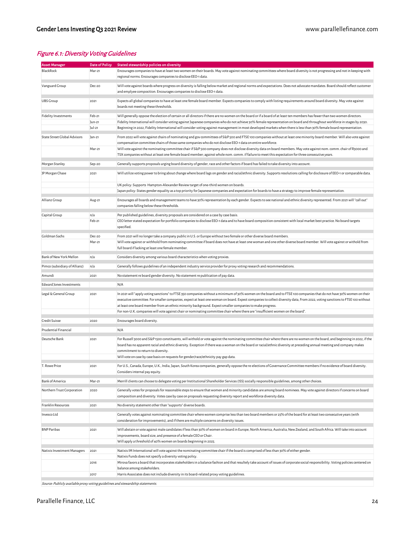#### Figure 6.1: Diversity Voting Guidelines

| <b>Asset Manager</b>          | <b>Date of Policy</b>      | Stated stewardship policies on diversity                                                                                                                                                                                                                                                                                                                                                                                                                                                                                                                                                            |  |  |
|-------------------------------|----------------------------|-----------------------------------------------------------------------------------------------------------------------------------------------------------------------------------------------------------------------------------------------------------------------------------------------------------------------------------------------------------------------------------------------------------------------------------------------------------------------------------------------------------------------------------------------------------------------------------------------------|--|--|
| BlackRock                     | Mar-21                     | Encourages companies to have at least two women on their boards. May vote against nominating committees where board diversity is not progressing and not in keeping with<br>regional norms. Encourages companies to disclose EEO-1 data.                                                                                                                                                                                                                                                                                                                                                            |  |  |
| Vanguard Group                | Dec-20                     | Will vote against boards where progress on diversity is falling below market and regional norms and expectations. Does not advocate mandates. Board should reflect customer<br>and emplyee composition. Encourages companies to disclose EEO-1 data.                                                                                                                                                                                                                                                                                                                                                |  |  |
| <b>UBS Group</b>              | 2021                       | Expects all global companies to have at least one female board member. Expects companies to comply with listing requirements around board diversity. May vote against<br>boards not meeting these thresholds.                                                                                                                                                                                                                                                                                                                                                                                       |  |  |
| Fidelity Investments          | Feb-21<br>Jun-21<br>Jul-21 | Will generally oppose the election of certain or all directors if there are no women on the board or if a board of at least ten members has fewer than two women directors.<br>Fidelity International will consider voting against Japanese companies who do not achieve 30% female representation on board and throughout workforce in stages by 2030.<br>Beginning in 2022, Fidelity International will consider voting against management in most developed markets when there is less than 30% female board representation.                                                                     |  |  |
| State Street Global Advisors  | $Jan-21$<br>Mar-21         | From 2022 will vote against chairs of nominating and gov committees of S&P 500 and FTSE 100 companies without at least one minority board member. Will also vote against<br>compensation committee chairs of those same companies who do not disclose EEO-1 data on entire workforce.<br>Will vote against the nominating committee chair if S&P 500 company does not disclose diversity data on board members. May vote against nom. comm. chair of R3000 and                                                                                                                                      |  |  |
|                               |                            | TSX companies without at least one female board member; against whole nom. comm. if failure to meet this expectation for three consecutive years.                                                                                                                                                                                                                                                                                                                                                                                                                                                   |  |  |
| Morgan Stanley                | Sep-20                     | Generally supports proposals urging board diversity of gender, race and other factors if board has failed to take diversity into account.                                                                                                                                                                                                                                                                                                                                                                                                                                                           |  |  |
| JP Morgan Chase               | 2021                       | Will utilize voting power to bring about change where board lags on gender and racial/ethnic diversity. Supports resolutions calling for disclosure of EEO-1 or comparable data.                                                                                                                                                                                                                                                                                                                                                                                                                    |  |  |
|                               |                            | UK policy: Supports Hampton-Alexander Review target of one-third women on boards.<br>Japan policy: States gender equality as a top priority for Japanese companies and expectation for boards to have a strategy to improve female representation.                                                                                                                                                                                                                                                                                                                                                  |  |  |
| Allianz Group                 | Aug-21                     | Encourages all boards and management teams to have 30% representation by each gender. Expects to see national and ethnic diversity represented. From 2021 will "call out"<br>companies falling below these thresholds.                                                                                                                                                                                                                                                                                                                                                                              |  |  |
| Capital Group                 | n/a<br>Feb-21              | Per published guidelines, diversity proposals are considered on a case by case basis.<br>CEO letter stated expectation for portfolio companies to disclose EEO-1 data and to have board composition consistent with local market best practice. No board targets                                                                                                                                                                                                                                                                                                                                    |  |  |
|                               |                            | specified.                                                                                                                                                                                                                                                                                                                                                                                                                                                                                                                                                                                          |  |  |
| Goldman Sachs                 | Dec-20                     | From 2021 will no longer take a company public in U.S. or Europe without two female or other diverse board members.                                                                                                                                                                                                                                                                                                                                                                                                                                                                                 |  |  |
|                               | Mar-21                     | Will vote against or withhold from nominating committee if board does not have at least one woman and one other diverse board member. Will vote against or withold from<br>full board if lacking at least one female member.                                                                                                                                                                                                                                                                                                                                                                        |  |  |
| Bank of New York Mellon       | n/a                        | Considers diversity among various board characteristics when voting proxies.                                                                                                                                                                                                                                                                                                                                                                                                                                                                                                                        |  |  |
| Pimco (subsidiary of Allianz) | n/a                        | Generally follows guidelines of an independent industry service provider for proxy voting research and recommendations.                                                                                                                                                                                                                                                                                                                                                                                                                                                                             |  |  |
| Amundi                        | 2021                       | No statement re board gender diversity. No statement re publication of pay data.                                                                                                                                                                                                                                                                                                                                                                                                                                                                                                                    |  |  |
| Edward Jones Investments      |                            | N/A                                                                                                                                                                                                                                                                                                                                                                                                                                                                                                                                                                                                 |  |  |
| Legal & General Group         | 2021                       | In 2021 will "apply voting sanctions" to FTSE 350 companies without a minimum of 30% women on the board and to FTSE 100 companies that do not have 30% women on their<br>executive committee. For smaller companies, expect at least one woman on board. Expect companies to collect diversity data, From 2022, voting sanctions to FTSE 100 without<br>at least one board member from an ethnic minority background. Expect smaller companies to make progress.<br>For non-U.K. companies will vote against chair or nominating committee chair where there are "insufficient women on the board". |  |  |
| Credit Suisse                 | 2020                       | Encourages board diversity.                                                                                                                                                                                                                                                                                                                                                                                                                                                                                                                                                                         |  |  |
| Prudential Financial          |                            | N/A                                                                                                                                                                                                                                                                                                                                                                                                                                                                                                                                                                                                 |  |  |
| Deutsche Bank                 | 2021                       | For Russell 3000 and S&P 1500 constituents, will withold or vote against the nominating committee chair where there are no women on the board, and beginning in 2022, if the<br>board has no apparent racial and ethnic diversity. Exception if there was a woman on the board or racial/ethnic diversity at preceding annual meeting and company makes<br>commitment to return to diversity.<br>Will vote on case by case basis on requests for gender/race/ethnicity pay gap data.                                                                                                                |  |  |
| 1. Rowe Price                 | 2021                       | For U.S., Canada, Europe, U.K., India, Japan, South Korea companies, generally oppose the re-elections of Governance Committee members if no evidence of board diversity.<br>Considers internal pay equity.                                                                                                                                                                                                                                                                                                                                                                                         |  |  |
| <b>Bank of America</b>        | Mar-21                     | Merrill clients can choose to delegate voting per Institutional Shareholder Services (ISS) socially responsible guidelines, among other choices.                                                                                                                                                                                                                                                                                                                                                                                                                                                    |  |  |
| Northern Trust Corporation    | 2020                       | Generally votes for proposals for reasonable steps to ensure that women and minority candidates are among board nominees. May vote against directors if concerns on board<br>composition and diversity. Votes case by case on proposals requesting diversity report and workforce diversity data.                                                                                                                                                                                                                                                                                                   |  |  |
| Franklin Resources            | 2021                       | No diversity statement other than "supports" diverse boards.                                                                                                                                                                                                                                                                                                                                                                                                                                                                                                                                        |  |  |
| Invesco Ltd                   |                            | Generally votes against nominating committee chair where women comprise less than two board members or 25% of the board for at least two consecutive years (with<br>consideration for improvements), and if there are multiple concerns on diversity issues.                                                                                                                                                                                                                                                                                                                                        |  |  |
| <b>BNP Paribas</b>            | 2021                       | Will abstain or vote against male candidates if less than 30% of women on board in Europe, North America, Australia, New Zealand, and South Africa. Will take into account<br>improvements, board size, and presence of a female CEO or Chair.                                                                                                                                                                                                                                                                                                                                                      |  |  |
|                               |                            | Will apply a threshold of 40% women on boards beginning in 2025.                                                                                                                                                                                                                                                                                                                                                                                                                                                                                                                                    |  |  |
| Natixis Investment Managers   | 2021                       | Natixis IM International will vote against the nominating committee chair if the board is comprised of less than 30% of either gender.                                                                                                                                                                                                                                                                                                                                                                                                                                                              |  |  |
|                               | 2016                       | Natixis Funds does not specify a diversity voting policy.<br>Mirova favors a board that incorporates stakeholders in a balance fashion and that resultely take account of issues of corporate social responsibility. Voting policies centered on                                                                                                                                                                                                                                                                                                                                                    |  |  |
|                               | 2017                       | balance among stakeholders.<br>Harris Associates does not include diversity in its board-related proxy voting guidelines.                                                                                                                                                                                                                                                                                                                                                                                                                                                                           |  |  |
|                               |                            |                                                                                                                                                                                                                                                                                                                                                                                                                                                                                                                                                                                                     |  |  |

Source: Publicly available proxy voting guidelines and stewardship statements.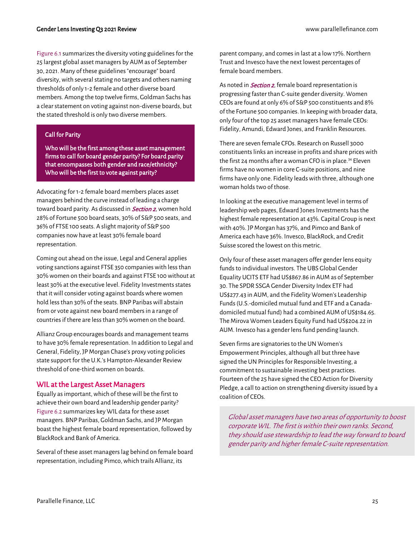#### Gender Lens Investing Q3 2021 Review [www.parallellefinance.com](http://www.parallellefinance.com/)

Figure 6.1 summarizes the diversity voting guidelines for the 25 largest global asset managers by AUM as of September 30, 2021. Many of these guidelines "encourage" board diversity, with several stating no targets and others naming thresholds of only 1-2 female and other diverse board members. Among the top twelve firms, Goldman Sachs has a clear statement on voting against non-diverse boards, but the stated threshold is only two diverse members.

#### Call for Parity

Who will be the first among these asset management firms to call for board gender parity? For board parity that encompasses both gender and race/ethnicity? Who will be the first to vote against parity?

Advocating for 1-2 female board members places asset managers behind the curve instead of leading a charge toward board parity. As discussed in **[Section 2](#page-11-0)**, women hold 28% of Fortune 500 board seats, 30% of S&P 500 seats, and 36% of FTSE 100 seats. A slight majority of S&P 500 companies now have at least 30% female board representation.

Coming out ahead on the issue, Legal and General applies voting sanctions against FTSE 350 companies with less than 30% women on their boards and against FTSE 100 without at least 30% at the executive level. Fidelity Investments states that it will consider voting against boards where women hold less than 30% of the seats. BNP Paribas will abstain from or vote against new board members in a range of countries if there are less than 30% women on the board.

Allianz Group encourages boards and management teams to have 30% female representation. In addition to Legal and General, Fidelity, JP Morgan Chase's proxy voting policies state support for the U.K.'s Hampton-Alexander Review threshold of one-third women on boards.

#### <span id="page-24-0"></span>WIL at the Largest Asset Managers

Equally as important, which of these will be the first to achieve their own board and leadership gender parity? Figure 6.2 summarizes key WIL data for these asset managers. BNP Paribas, Goldman Sachs, and JP Morgan boast the highest female board representation, followed by BlackRock and Bank of America.

Several of these asset managers lag behind on female board representation, including Pimco, which trails Allianz, its

parent company, and comes in last at a low 17%. Northern Trust and Invesco have the next lowest percentages of female board members.

As noted in **[Section 2](#page-11-0)**, female board representation is progressing faster than C-suite gender diversity. Women CEOs are found at only 6% of S&P 500 constituents and 8% of the Fortune 500 companies. In keeping with broader data, only four of the top 25 asset managers have female CEOs: Fidelity, Amundi, Edward Jones, and Franklin Resources.

There are seven female CFOs. Research on Russell 3000 constituents links an increase in profits and share prices with the first 24 months after a woman CFO is in place.<sup>34</sup> Eleven firms have no women in core C-suite positions, and nine firms have only one. Fidelity leads with three, although one woman holds two of those.

In looking at the executive management level in terms of leadership web pages, Edward Jones Investments has the highest female representation at 43%. Capital Group is next with 40%. JP Morgan has 37%, and Pimco and Bank of America each have 36%. Invesco, BlackRock, and Credit Suisse scored the lowest on this metric.

Only four of these asset managers offer gender lens equity funds to individual investors. The UBS Global Gender Equality UCITS ETF had US\$867.86 in AUM as of September 30. The SPDR SSGA Gender Diversity Index ETF had US\$277.43 in AUM, and the Fidelity Women's Leadership Funds (U.S.-domiciled mutual fund and ETF and a Canadadomiciled mutual fund) had a combined AUM of US\$184.65. The Mirova Women Leaders Equity Fund had US\$204.22 in AUM. Invesco has a gender lens fund pending launch.

Seven firms are signatories to the UN Women's Empowerment Principles, although all but three have signed the UN Principles for Responsible Investing, a commitment to sustainable investing best practices. Fourteen of the 25 have signed the CEO Action for Diversity Pledge, a call to action on strengthening diversity issued by a coalition of CEOs.

Global asset managers have two areas of opportunity to boost corporate WIL. The first is within their own ranks. Second, they should use stewardship to lead the way forward to board gender parity and higher female C-suite representation.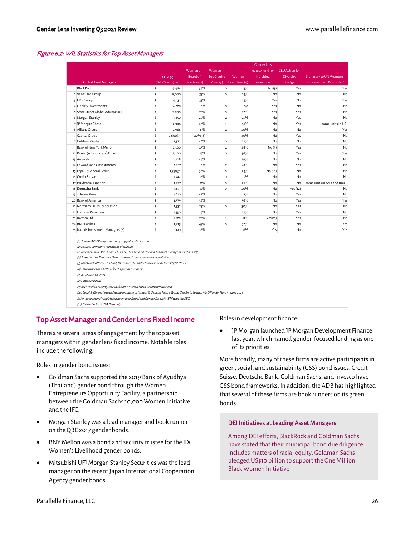#### Figure 6.2: WIL Statistics for Top Asset Managers

|                                                                                                                                                                                                                                                                                                                                                                                                                                                                                                                                                                                                                                                                                                                                                                                                                                  | <b>Gender lens</b>    |               |                    |                |                 |                       |                                |
|----------------------------------------------------------------------------------------------------------------------------------------------------------------------------------------------------------------------------------------------------------------------------------------------------------------------------------------------------------------------------------------------------------------------------------------------------------------------------------------------------------------------------------------------------------------------------------------------------------------------------------------------------------------------------------------------------------------------------------------------------------------------------------------------------------------------------------|-----------------------|---------------|--------------------|----------------|-----------------|-----------------------|--------------------------------|
|                                                                                                                                                                                                                                                                                                                                                                                                                                                                                                                                                                                                                                                                                                                                                                                                                                  |                       | Women on      | Women in           |                | equity fund for | <b>CEO</b> Action for |                                |
|                                                                                                                                                                                                                                                                                                                                                                                                                                                                                                                                                                                                                                                                                                                                                                                                                                  | AUM(1)                | Board of      | <b>Top C-suite</b> | Women          | individual      | <b>Diversity</b>      | Signatory to UN Women's        |
| <b>Top Global Asset Managers</b>                                                                                                                                                                                                                                                                                                                                                                                                                                                                                                                                                                                                                                                                                                                                                                                                 | USD billions, 9/30/21 | Directors (2) | Roles (3)          | Executives (4) | investors?      | Pledge                | <b>Empowerment Principles?</b> |
| 1 BlackRock                                                                                                                                                                                                                                                                                                                                                                                                                                                                                                                                                                                                                                                                                                                                                                                                                      | \$<br>9.464           | 39%           | $\circ$            | 14%            | No(5)           | Yes                   | Yes                            |
| 2 Vanguard Group                                                                                                                                                                                                                                                                                                                                                                                                                                                                                                                                                                                                                                                                                                                                                                                                                 | \$<br>8,000           | 33%           | $\circ$            | 23%            | No              | No                    | No                             |
| 3 UBS Group                                                                                                                                                                                                                                                                                                                                                                                                                                                                                                                                                                                                                                                                                                                                                                                                                      | \$<br>4,432           | 33%           | $\mathbf{1}$       | 25%            | Yes             | No                    | Yes                            |
| 4 Fidelity Investments                                                                                                                                                                                                                                                                                                                                                                                                                                                                                                                                                                                                                                                                                                                                                                                                           | \$<br>4,228           | n/a           | 3                  | n/a            | Yes             | No.                   | No                             |
| 5 State Street Global Advisors (6)                                                                                                                                                                                                                                                                                                                                                                                                                                                                                                                                                                                                                                                                                                                                                                                               | \$<br>3,900           | 25%           | $\circ$            | 32%            | Yes             | Yes                   | No                             |
| 6 Morgan Stanley                                                                                                                                                                                                                                                                                                                                                                                                                                                                                                                                                                                                                                                                                                                                                                                                                 | \$<br>3,650           | 29%           | $\mathbf 2$        | 25%            | No              | Yes                   | No                             |
| 7 JP Morgan Chase                                                                                                                                                                                                                                                                                                                                                                                                                                                                                                                                                                                                                                                                                                                                                                                                                | \$<br>2,996           | 40%           | $\mathbf 1$        | 37%            | No              | Yes                   | some units in L.A.             |
| 8 Allianz Group                                                                                                                                                                                                                                                                                                                                                                                                                                                                                                                                                                                                                                                                                                                                                                                                                  | \$<br>2,966           | 33%           | $\overline{2}$     | 20%            | No              | No                    | Yes                            |
| 9 Capital Group                                                                                                                                                                                                                                                                                                                                                                                                                                                                                                                                                                                                                                                                                                                                                                                                                  | \$<br>2,600(7)        | $20\%$ $(8)$  | $\mathbf{1}$       | 40%            | No              | Yes                   | No                             |
| 10 Goldman Sachs                                                                                                                                                                                                                                                                                                                                                                                                                                                                                                                                                                                                                                                                                                                                                                                                                 | \$<br>2,372           | 46%           | $\circ$            | 22%            | No              | No                    | No                             |
| 11 Bank of New York Mellon                                                                                                                                                                                                                                                                                                                                                                                                                                                                                                                                                                                                                                                                                                                                                                                                       | \$<br>2,300           | 25%           | $\overline{2}$     | 28%            | No(9)           | Yes                   | No                             |
| 12 Pimco (subsidiary of Allianz)                                                                                                                                                                                                                                                                                                                                                                                                                                                                                                                                                                                                                                                                                                                                                                                                 | \$<br>2,200           | 17%           | $\circ$            | 36%            | No              | Yes                   | Yes                            |
| 13 Amundi                                                                                                                                                                                                                                                                                                                                                                                                                                                                                                                                                                                                                                                                                                                                                                                                                        | \$<br>2,108           | 44%           | $\mathbf 1$        | 29%            | No              | No                    | No                             |
| 14 Edward Jones Investments                                                                                                                                                                                                                                                                                                                                                                                                                                                                                                                                                                                                                                                                                                                                                                                                      | \$<br>1,757           | n/a           | $\mathbf 2$        | 43%            | No              | Yes                   | No                             |
| 15 Legal & General Group                                                                                                                                                                                                                                                                                                                                                                                                                                                                                                                                                                                                                                                                                                                                                                                                         | \$<br>1,750(7)        | 30%           | $\circ$            | 23%            | No (10)         | No                    | No                             |
| 16 Credit Suisse                                                                                                                                                                                                                                                                                                                                                                                                                                                                                                                                                                                                                                                                                                                                                                                                                 | \$<br>1,742           | 36%           | $\circ$            | 15%            | No              | No                    | No                             |
| 17 Prudential Financial                                                                                                                                                                                                                                                                                                                                                                                                                                                                                                                                                                                                                                                                                                                                                                                                          | \$<br>1,727           | 31%           | $\circ$            | 27%            | No              | No                    | some units in Asia and Brazil  |
| 18 Deutsche Bank                                                                                                                                                                                                                                                                                                                                                                                                                                                                                                                                                                                                                                                                                                                                                                                                                 | \$<br>1,671           | 32%           | $\circ$            | 20%            | No              | Yes (12)              | No                             |
| 19 T. Rowe Price                                                                                                                                                                                                                                                                                                                                                                                                                                                                                                                                                                                                                                                                                                                                                                                                                 | \$<br>1,610           | 42%           | $\mathbf 1$        | 21%            | No              | Yes                   | No                             |
| 20 Bank of America                                                                                                                                                                                                                                                                                                                                                                                                                                                                                                                                                                                                                                                                                                                                                                                                               | \$<br>1,579           | 38%           | $\mathbf 1$        | 36%            | No              | Yes                   | Yes                            |
| 21 Northern Trust Corporation                                                                                                                                                                                                                                                                                                                                                                                                                                                                                                                                                                                                                                                                                                                                                                                                    | \$<br>1,532           | 23%           | $\circ$            | 30%            | No              | Yes                   | No                             |
| 22 Franklin Resources                                                                                                                                                                                                                                                                                                                                                                                                                                                                                                                                                                                                                                                                                                                                                                                                            | \$<br>1,530           | 27%           | $\mathbf{1}$       | 22%            | No              | Yes                   | No                             |
| 23 Invesco Ltd                                                                                                                                                                                                                                                                                                                                                                                                                                                                                                                                                                                                                                                                                                                                                                                                                   | \$<br>1,529           | 23%           | $\mathbf{1}$       | 11%            | Yes (11)        | Yes                   | No                             |
| 24 BNP Paribas                                                                                                                                                                                                                                                                                                                                                                                                                                                                                                                                                                                                                                                                                                                                                                                                                   | \$<br>1,419           | 47%           | $\circ$            | 32%            | No              | No                    | Yes                            |
| 25 Natixis Investment Managers (6)                                                                                                                                                                                                                                                                                                                                                                                                                                                                                                                                                                                                                                                                                                                                                                                               | \$<br>1,390           | 38%           | $\mathbf{1}$       | 36%            | Yes             | No                    | Yes                            |
| (1) Source: ADV Ratings and company public disclosures<br>(2) Source: Company websites as of 11/26/21<br>(3) Includes Chair, Vice Chair, CEO, CFO, COO and CIO (or head of asset management if no CIO).<br>(4) Based on the Executive Committee or similar shown on the website.<br>(5) BlackRock offers a DEI fund, the iShares Refinitiv Inclusion and Diversity UCITS ETF.<br>(6) Data other than AUM refers to parent company.<br>(7) As of June 30, 2021<br>(8) Advisory Board<br>(9) BNY Mellon recently closed the BNY Mellon Japan Womenomics Fund.<br>(10) Legal & General expanded the mandate of it Legal & General Future World Gender in Leadership UK Index Fund in early 2021.<br>(11) Invesco recently registered its Invesco Racial and Gender Diversity ETF with the SEC.<br>(12) Deutsche Bank USA Corp only. |                       |               |                    |                |                 |                       |                                |

#### <span id="page-25-0"></span>Top Asset Manager and Gender Lens Fixed Income

There are several areas of engagement by the top asset managers within gender lens fixed income. Notable roles include the following.

Roles in gender bond issues:

- Goldman Sachs supported the 2019 Bank of Ayudhya (Thailand) gender bond through the Women Entrepreneurs Opportunity Facility, a partnership between the Goldman Sachs 10,000 Women Initiative and the IFC.
- Morgan Stanley was a lead manager and book runner on the QBE 2017 gender bonds.
- BNY Mellon was a bond and security trustee for the IIX Women's Livelihood gender bonds.
- Mitsubishi UFJ Morgan Stanley Securities was the lead manager on the recent Japan International Cooperation Agency gender bonds.

Roles in development finance:

• JP Morgan launched JP Morgan Development Finance last year, which named gender-focused lending as one of its priorities.

More broadly, many of these firms are active participants in green, social, and sustainability (GSS) bond issues. Credit Suisse, Deutsche Bank, Goldman Sachs, and Invesco have GSS bond frameworks. In addition, the ADB has highlighted that several of these firms are book runners on its green bonds.

#### DEI Initiatives at Leading Asset Managers

Among DEI efforts, BlackRock and Goldman Sachs have stated that their municipal bond due diligence includes matters of racial equity. Goldman Sachs pledged US\$10 billion to support the One Million Black Women Initiative.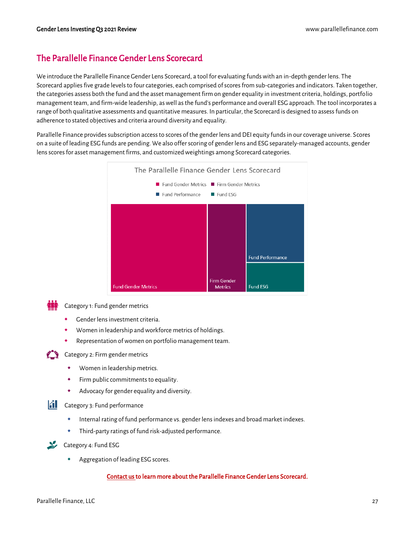### <span id="page-26-0"></span>The Parallelle Finance Gender Lens Scorecard

We introduce the Parallelle Finance Gender Lens Scorecard, a tool for evaluating funds with an in-depth gender lens. The Scorecard applies five grade levels to four categories, each comprised of scores from sub-categories and indicators. Taken together, the categories assess both the fund and the asset management firm on gender equality in investment criteria, holdings, portfolio management team, and firm-wide leadership, as well as the fund's performance and overall ESG approach. The tool incorporates a range of both qualitative assessments and quantitative measures. In particular, the Scorecard is designed to assess funds on adherence to stated objectives and criteria around diversity and equality.

Parallelle Finance provides subscription access to scores of the gender lens and DEI equity funds in our coverage universe. Scores on a suite of leading ESG funds are pending. We also offer scoring of gender lens and ESG separately-managed accounts, gender lens scores for asset management firms, and customized weightings among Scorecard categories.



Category 1: Fund gender metrics

- Gender lens investment criteria.
- Women in leadership and workforce metrics of holdings.
- Representation of women on portfolio management team.



Category 2: Firm gender metrics

- Women in leadership metrics.
- Firm public commitments to equality.
- Advocacy for gender equality and diversity.

 $\|\hat{\mathbf{f}}\|$  Category 3: Fund performance

- Internal rating of fund performance vs. gender lens indexes and broad market indexes.
- Third-party ratings of fund risk-adjusted performance.



- $\sum$  Category 4: Fund ESG
	- Aggregation of leading ESG scores.

#### [Contact us t](mailto:info@parallellefinance.com?subject=Gender%20Lens%20Equity%20Fund%20Holdings)o learn more about the Parallelle Finance Gender Lens Scorecard.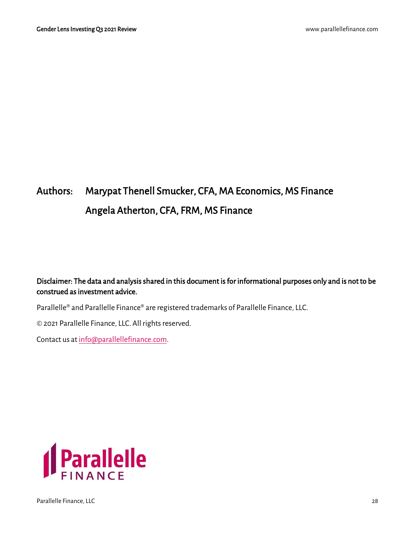## Authors: Marypat Thenell Smucker, CFA, MA Economics, MS Finance Angela Atherton, CFA, FRM, MS Finance

### Disclaimer: The data and analysis shared in this document is for informational purposes only and is not to be construed as investment advice.

Parallelle® and Parallelle Finance® are registered trademarks of Parallelle Finance, LLC.

© 2021 Parallelle Finance, LLC. All rights reserved.

Contact us a[t info@parallellefinance.com.](mailto:info@parallellefinance.com)

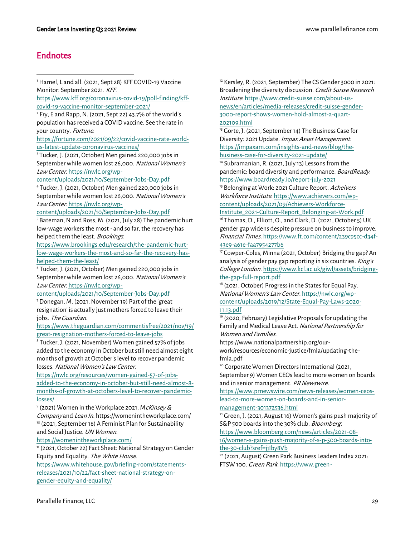### <span id="page-28-0"></span>Endnotes

<sup>1</sup>Hamel, L and all. (2021, Sept 28) KFF COVID-19 Vaccine Monitor: September 2021. KFF.

[https://www.kff.org/coronavirus-covid-19/poll-finding/kff](https://www.kff.org/coronavirus-covid-19/poll-finding/kff-covid-19-vaccine-monitor-september-2021/)[covid-19-vaccine-monitor-september-2021/](https://www.kff.org/coronavirus-covid-19/poll-finding/kff-covid-19-vaccine-monitor-september-2021/) 

2 Fry, E and Rapp, N. (2021, Sept 22) 43.7% of the world's population has received a COVID vaccine. See the rate in your country. Fortune.

[https://fortune.com/2021/09/22/covid-vaccine-rate-world](https://fortune.com/2021/09/22/covid-vaccine-rate-world-us-latest-update-coronavirus-vaccines/)[us-latest-update-coronavirus-vaccines/](https://fortune.com/2021/09/22/covid-vaccine-rate-world-us-latest-update-coronavirus-vaccines/)

<sup>3</sup> Tucker, J. (2021, October) Men gained 220,000 jobs in September while women lost 26,000. National Women's Law Center[. https://nwlc.org/wp-](https://nwlc.org/wp-content/uploads/2021/10/September-Jobs-Day.pdf)

[content/uploads/2021/10/September-Jobs-Day.pdf](https://nwlc.org/wp-content/uploads/2021/10/September-Jobs-Day.pdf)

<sup>4</sup> Tucker, J. (2021, October) Men gained 220,000 jobs in September while women lost 26,000. National Women's Law Center[. https://nwlc.org/wp-](https://nwlc.org/wp-content/uploads/2021/10/September-Jobs-Day.pdf)

[content/uploads/2021/10/September-Jobs-Day.pdf](https://nwlc.org/wp-content/uploads/2021/10/September-Jobs-Day.pdf)

<sup>5</sup> Bateman, N and Ross, M. (2021, July 28) The pandemic hurt low-wage workers the most - and so far, the recovery has helped them the least. Brookings.

[https://www.brookings.edu/research/the-pandemic-hurt](https://www.brookings.edu/research/the-pandemic-hurt-low-wage-workers-the-most-and-so-far-the-recovery-has-helped-them-the-least/)[low-wage-workers-the-most-and-so-far-the-recovery-has](https://www.brookings.edu/research/the-pandemic-hurt-low-wage-workers-the-most-and-so-far-the-recovery-has-helped-them-the-least/)[helped-them-the-least/](https://www.brookings.edu/research/the-pandemic-hurt-low-wage-workers-the-most-and-so-far-the-recovery-has-helped-them-the-least/)

<sup>6</sup> Tucker, J. (2021, October) Men gained 220,000 jobs in September while women lost 26,000. National Women's Law Center[. https://nwlc.org/wp-](https://nwlc.org/wp-content/uploads/2021/10/September-Jobs-Day.pdf)

[content/uploads/2021/10/September-Jobs-Day.pdf](https://nwlc.org/wp-content/uploads/2021/10/September-Jobs-Day.pdf) <sup>7</sup> Donegan, M. (2021, November 19) Part of the 'great resignation' is actually just mothers forced to leave their jobs. The Guardian.

[https://www.theguardian.com/commentisfree/2021/nov/19/](https://www.theguardian.com/commentisfree/2021/nov/19/great-resignation-mothers-forced-to-leave-jobs) [great-resignation-mothers-forced-to-leave-jobs](https://www.theguardian.com/commentisfree/2021/nov/19/great-resignation-mothers-forced-to-leave-jobs)

<sup>8</sup> Tucker, J. (2021, November) Women gained 57% of jobs added to the economy in October but still need almost eight months of growth at October's level to recover pandemic losses. National Women's Law Center.

[https://nwlc.org/resources/women-gained-57-of-jobs](https://nwlc.org/resources/women-gained-57-of-jobs-added-to-the-economy-in-october-but-still-need-almost-8-months-of-growth-at-octobers-level-to-recover-pandemic-losses/)[added-to-the-economy-in-october-but-still-need-almost-8](https://nwlc.org/resources/women-gained-57-of-jobs-added-to-the-economy-in-october-but-still-need-almost-8-months-of-growth-at-octobers-level-to-recover-pandemic-losses/) [months-of-growth-at-octobers-level-to-recover-pandemic](https://nwlc.org/resources/women-gained-57-of-jobs-added-to-the-economy-in-october-but-still-need-almost-8-months-of-growth-at-octobers-level-to-recover-pandemic-losses/)[losses/](https://nwlc.org/resources/women-gained-57-of-jobs-added-to-the-economy-in-october-but-still-need-almost-8-months-of-growth-at-octobers-level-to-recover-pandemic-losses/)

<sup>9</sup> (2021) Women in the Workplace 2021. M*cKinsey &* Company and Lean In. https://womenintheworkplace.com/ <sup>10</sup> (2021, September 16) A Feminist Plan for Sustainability and Social Justice. UN Women.

<https://womenintheworkplace.com/>

<sup>11</sup> (2021, October 22) Fact Sheet: National Strategy on Gender Equity and Equality. The White House.

[https://www.whitehouse.gov/briefing-room/statements](https://www.whitehouse.gov/briefing-room/statements-releases/2021/10/22/fact-sheet-national-strategy-on-gender-equity-and-equality/)[releases/2021/10/22/fact-sheet-national-strategy-on](https://www.whitehouse.gov/briefing-room/statements-releases/2021/10/22/fact-sheet-national-strategy-on-gender-equity-and-equality/)[gender-equity-and-equality/](https://www.whitehouse.gov/briefing-room/statements-releases/2021/10/22/fact-sheet-national-strategy-on-gender-equity-and-equality/)

<sup>12</sup> Kersley, R. (2021, September) The CS Gender 3000 in 2021: Broadening the diversity discussion. Credit Suisse Research Institute[. https://www.credit-suisse.com/about-us](https://www.credit-suisse.com/about-us-news/en/articles/media-releases/credit-suisse-gender-3000-report-shows-women-hold-almost-a-quart-202109.html)[news/en/articles/media-releases/credit-suisse-gender-](https://www.credit-suisse.com/about-us-news/en/articles/media-releases/credit-suisse-gender-3000-report-shows-women-hold-almost-a-quart-202109.html)[3000-report-shows-women-hold-almost-a-quart-](https://www.credit-suisse.com/about-us-news/en/articles/media-releases/credit-suisse-gender-3000-report-shows-women-hold-almost-a-quart-202109.html)[202109.html](https://www.credit-suisse.com/about-us-news/en/articles/media-releases/credit-suisse-gender-3000-report-shows-women-hold-almost-a-quart-202109.html)

<sup>13</sup> Gorte, J. (2021, September 14) The Business Case for Diversity: 2021 Update. Impax Asset Management. [https://impaxam.com/insights-and-news/blog/the](https://impaxam.com/insights-and-news/blog/the-business-case-for-diversity-2021-update/)[business-case-for-diversity-2021-update/](https://impaxam.com/insights-and-news/blog/the-business-case-for-diversity-2021-update/)

<sup>14</sup> Subramanian, R. (2021, July 13) Lessons from the pandemic: board diversity and performance. BoardReady. <https://www.boardready.io/report-july-2021>

<sup>15</sup> Belonging at Work: 2021 Culture Report. Acheivers Workforce Institute[. https://www.achievers.com/wp](https://www.achievers.com/wp-content/uploads/2021/09/Achievers-Workforce-Institute_2021-Culture-Report_Belonging-at-Work.pdf)[content/uploads/2021/09/Achievers-Workforce-](https://www.achievers.com/wp-content/uploads/2021/09/Achievers-Workforce-Institute_2021-Culture-Report_Belonging-at-Work.pdf)

[Institute\\_2021-Culture-Report\\_Belonging-at-Work.pdf](https://www.achievers.com/wp-content/uploads/2021/09/Achievers-Workforce-Institute_2021-Culture-Report_Belonging-at-Work.pdf) <sup>16</sup> Thomas, D., Elliott, O., and Clark, D. (2021, October 5) UK gender gap widens despite pressure on business to improve. Financial Times[. https://www.ft.com/content/239c95cc-d34f-](https://www.ft.com/content/239c95cc-d34f-43e9-a61e-faa7954277b6)[43e9-a61e-faa7954277b6](https://www.ft.com/content/239c95cc-d34f-43e9-a61e-faa7954277b6)

<sup>17</sup> Cowper-Coles, Minna (2021, October) Bridging the gap? An analysis of gender pay gap reporting in six countries. King's College London[. https://www.kcl.ac.uk/giwl/assets/bridging](https://www.kcl.ac.uk/giwl/assets/bridging-the-gap-full-report.pdf)[the-gap-full-report.pdf](https://www.kcl.ac.uk/giwl/assets/bridging-the-gap-full-report.pdf)

<sup>18</sup> (2021, October) Progress in the States for Equal Pay. National Women's Law Center[. https://nwlc.org/wp](https://nwlc.org/wp-content/uploads/2019/12/State-Equal-Pay-Laws-2020-11.13.pdf)[content/uploads/2019/12/State-Equal-Pay-Laws-2020-](https://nwlc.org/wp-content/uploads/2019/12/State-Equal-Pay-Laws-2020-11.13.pdf) [11.13.pdf](https://nwlc.org/wp-content/uploads/2019/12/State-Equal-Pay-Laws-2020-11.13.pdf)

<sup>19</sup> (2020, February) Legislative Proposals for updating the Family and Medical Leave Act. National Partnership for Women and Families.

https://www.nationalpartnership.org/our-

work/resources/economic-justice/fmla/updating-thefmla.pdf

<sup>20</sup> Corporate Women Directors International (2021, September 9) Women CEOs lead to more women on boards and in senior management. PR Newswire.

[https://www.prnewswire.com/news-releases/women-ceos](https://www.prnewswire.com/news-releases/women-ceos-lead-to-more-women-on-boards-and-in-senior-management-301372536.html)[lead-to-more-women-on-boards-and-in-senior-](https://www.prnewswire.com/news-releases/women-ceos-lead-to-more-women-on-boards-and-in-senior-management-301372536.html)

[management-301372536.html](https://www.prnewswire.com/news-releases/women-ceos-lead-to-more-women-on-boards-and-in-senior-management-301372536.html)

<sup>21</sup> Green, J. (2021, August 16) Women's gains push majority of S&P 500 boards into the 30% club. Bloomberg.

[https://www.bloomberg.com/news/articles/2021-08-](https://www.bloomberg.com/news/articles/2021-08-16/women-s-gains-push-majority-of-s-p-500-boards-into-the-30-club?sref=jjIby8Vb) [16/women-s-gains-push-majority-of-s-p-500-boards-into-](https://www.bloomberg.com/news/articles/2021-08-16/women-s-gains-push-majority-of-s-p-500-boards-into-the-30-club?sref=jjIby8Vb)

[the-30-club?sref=jjIby8Vb](https://www.bloomberg.com/news/articles/2021-08-16/women-s-gains-push-majority-of-s-p-500-boards-into-the-30-club?sref=jjIby8Vb)

<sup>22</sup> (2021, August) Green Park Business Leaders Index 2021: FTSW 100. Green Park[. https://www.green-](https://www.green-park.co.uk/insights/green-park-business-leaders-index-2021-ftse-100/s239697/)